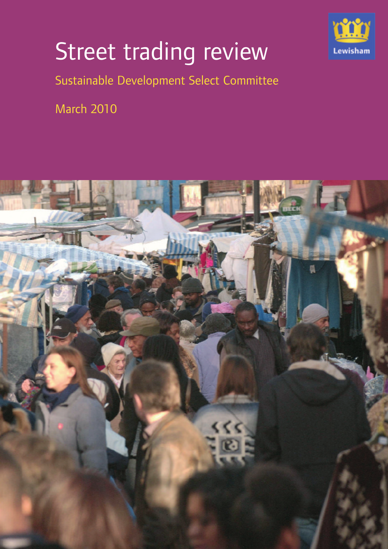

## Street trading review

Sustainable Development Select Committee

March 2010

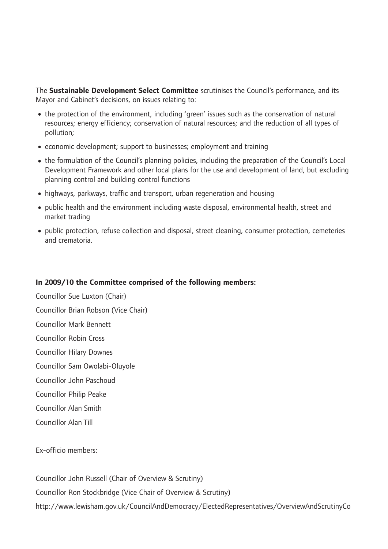The **Sustainable Development Select Committee** scrutinises the Council's performance, and its Mayor and Cabinet's decisions, on issues relating to:

- •the protection of the environment, including 'green' issues such as the conservation of natural resources; energy efficiency; conservation of natural resources; and the reduction of all types of pollution;
- •economic development; support to businesses; employment and training
- the formulation of the Council's planning policies, including the preparation of the Council's Local Development Framework and other local plans for the use and development of land, but excluding planning control and building control functions
- highways, parkways, traffic and transport, urban regeneration and housing
- public health and the environment including waste disposal, environmental health, street and market trading
- public protection, refuse collection and disposal, street cleaning, consumer protection, cemeteries and crematoria.

#### **In 2009/10 the Committee comprised of the following members:**

Councillor Sue Luxton (Chair) Councillor Brian Robson (Vice Chair) Councillor Mark Bennett Councillor Robin Cross Councillor Hilary Downes Councillor Sam Owolabi-Oluyole Councillor John Paschoud Councillor Philip Peake Councillor Alan Smith Councillor Alan Till

Ex-officio members:

Councillor John Russell (Chair of Overview & Scrutiny) Councillor Ron Stockbridge (Vice Chair of Overview & Scrutiny) http://www.lewisham.gov.uk/CouncilAndDemocracy/ElectedRepresentatives/OverviewAndScrutinyCo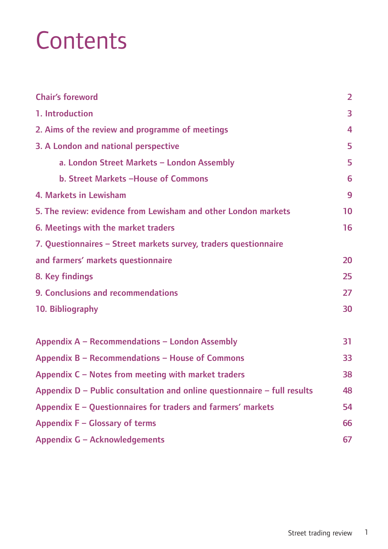## **Contents**

| <b>Chair's foreword</b>                                                    | $\overline{2}$ |
|----------------------------------------------------------------------------|----------------|
| 1. Introduction                                                            | 3              |
| 2. Aims of the review and programme of meetings                            | 4              |
| 3. A London and national perspective                                       | 5              |
| a. London Street Markets - London Assembly                                 | 5              |
| b. Street Markets -House of Commons                                        | 6              |
| 4. Markets in Lewisham                                                     | 9              |
| 5. The review: evidence from Lewisham and other London markets             | 10             |
| 6. Meetings with the market traders                                        | 16             |
| 7. Questionnaires - Street markets survey, traders questionnaire           |                |
| and farmers' markets questionnaire                                         | 20             |
| 8. Key findings                                                            | 25             |
| 9. Conclusions and recommendations                                         | 27             |
| 10. Bibliography                                                           | 30             |
| Appendix A - Recommendations - London Assembly                             | 31             |
| Appendix B - Recommendations - House of Commons                            | 33             |
| Appendix C - Notes from meeting with market traders                        | 38             |
| Appendix $D$ – Public consultation and online questionnaire – full results | 48             |
| Appendix E - Questionnaires for traders and farmers' markets               | 54             |
|                                                                            |                |
| Appendix F - Glossary of terms                                             | 66             |
| Appendix G - Acknowledgements                                              | 67             |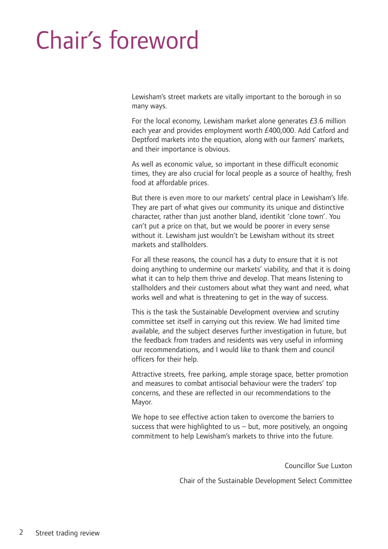## Chair's foreword

Lewisham's street markets are vitally important to the borough in so many ways.

For the local economy, Lewisham market alone generates £3.6 million each year and provides employment worth £400,000. Add Catford and Deptford markets into the equation, along with our farmers' markets, and their importance is obvious.

As well as economic value, so important in these difficult economic times, they are also crucial for local people as a source of healthy, fresh food at affordable prices.

But there is even more to our markets' central place in Lewisham's life. They are part of what gives our community its unique and distinctive character, rather than just another bland, identikit 'clone town'. You can't put a price on that, but we would be poorer in every sense without it. Lewisham just wouldn't be Lewisham without its street markets and stallholders.

For all these reasons, the council has a duty to ensure that it is not doing anything to undermine our markets' viability, and that it is doing what it can to help them thrive and develop. That means listening to stallholders and their customers about what they want and need, what works well and what is threatening to get in the way of success.

This is the task the Sustainable Development overview and scrutiny committee set itself in carrying out this review. We had limited time available, and the subject deserves further investigation in future, but the feedback from traders and residents was very useful in informing our recommendations, and I would like to thank them and council officers for their help.

Attractive streets, free parking, ample storage space, better promotion and measures to combat antisocial behaviour were the traders' top concerns, and these are reflected in our recommendations to the Mayor.

We hope to see effective action taken to overcome the barriers to success that were highlighted to us – but, more positively, an ongoing commitment to help Lewisham's markets to thrive into the future.

Councillor Sue Luxton

Chair of the Sustainable Development Select Committee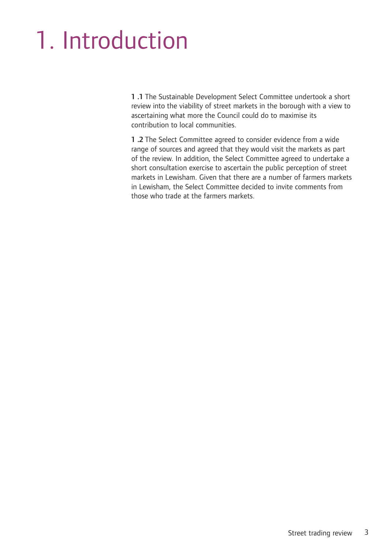## 1. Introduction

**1 .1** The Sustainable Development Select Committee undertook a short review into the viability of street markets in the borough with a view to ascertaining what more the Council could do to maximise its contribution to local communities.

**1 .2** The Select Committee agreed to consider evidence from a wide range of sources and agreed that they would visit the markets as part of the review. In addition, the Select Committee agreed to undertake a short consultation exercise to ascertain the public perception of street markets in Lewisham. Given that there are a number of farmers markets in Lewisham, the Select Committee decided to invite comments from those who trade at the farmers markets.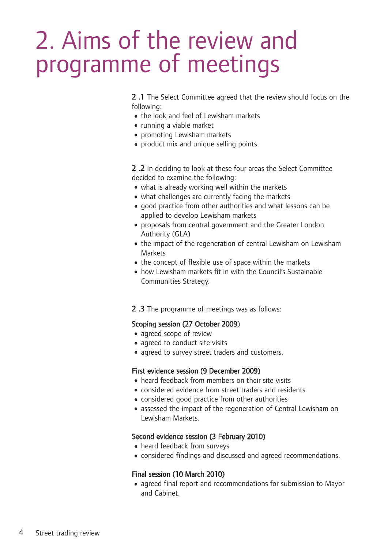## 2. Aims of the review and programme of meetings

**2 .1** The Select Committee agreed that the review should focus on the following:

- the look and feel of Lewisham markets
- running a viable market
- •promoting Lewisham markets
- •product mix and unique selling points.

**2 .2** In deciding to look at these four areas the Select Committee decided to examine the following:

- what is already working well within the markets
- what challenges are currently facing the markets
- •good practice from other authorities and what lessons can be applied to develop Lewisham markets
- •proposals from central government and the Greater London Authority (GLA)
- the impact of the regeneration of central Lewisham on Lewisham Markets
- the concept of flexible use of space within the markets
- how Lewisham markets fit in with the Council's Sustainable Communities Strategy.
- **2 .3** The programme of meetings was as follows:

#### Scoping session (27 October 2009)

- agreed scope of review
- agreed to conduct site visits
- •agreed to survey street traders and customers.

#### First evidence session (9 December 2009)

- •heard feedback from members on their site visits
- •considered evidence from street traders and residents
- considered good practice from other authorities
- •assessed the impact of the regeneration of Central Lewisham on Lewisham Markets.

#### Second evidence session (3 February 2010)

- heard feedback from surveys
- •considered findings and discussed and agreed recommendations.

#### Final session (10 March 2010)

•agreed final report and recommendations for submission to Mayor and Cabinet.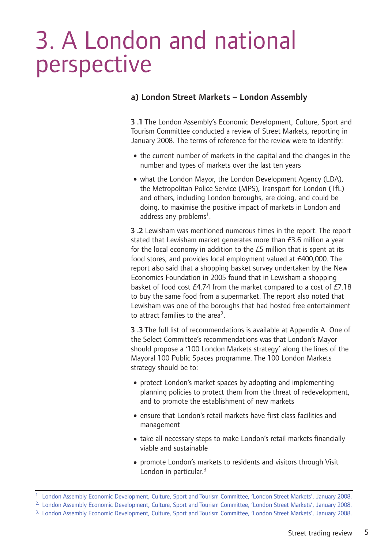## 3. A London and national perspective

#### **a) London Street Markets – London Assembly**

**3 .1** The London Assembly's Economic Development, Culture, Sport and Tourism Committee conducted a review of Street Markets, reporting in January 2008. The terms of reference for the review were to identify:

- the current number of markets in the capital and the changes in the number and types of markets over the last ten years
- what the London Mayor, the London Development Agency (LDA), the Metropolitan Police Service (MPS), Transport for London (TfL) and others, including London boroughs, are doing, and could be doing, to maximise the positive impact of markets in London and address any problems<sup>1</sup>.

**3 .2** Lewisham was mentioned numerous times in the report. The report stated that Lewisham market generates more than £3.6 million a year for the local economy in addition to the £5 million that is spent at its food stores, and provides local employment valued at £400,000. The report also said that a shopping basket survey undertaken by the New Economics Foundation in 2005 found that in Lewisham a shopping basket of food cost £4.74 from the market compared to a cost of £7.18 to buy the same food from a supermarket. The report also noted that Lewisham was one of the boroughs that had hosted free entertainment to attract families to the area2.

**3 .3** The full list of recommendations is available at Appendix A. One of the Select Committee's recommendations was that London's Mayor should propose a '100 London Markets strategy' along the lines of the Mayoral 100 Public Spaces programme. The 100 London Markets strategy should be to:

- protect London's market spaces by adopting and implementing planning policies to protect them from the threat of redevelopment, and to promote the establishment of new markets
- ensure that London's retail markets have first class facilities and management
- take all necessary steps to make London's retail markets financially viable and sustainable
- •promote London's markets to residents and visitors through Visit London in particular.<sup>3</sup>

<sup>&</sup>lt;sup>1.</sup> London Assembly Economic Development, Culture, Sport and Tourism Committee, 'London Street Markets', January 2008.

<sup>&</sup>lt;sup>2.</sup> London Assembly Economic Development, Culture, Sport and Tourism Committee, 'London Street Markets', January 2008.

<sup>&</sup>lt;sup>3.</sup> London Assembly Economic Development, Culture, Sport and Tourism Committee, 'London Street Markets', January 2008.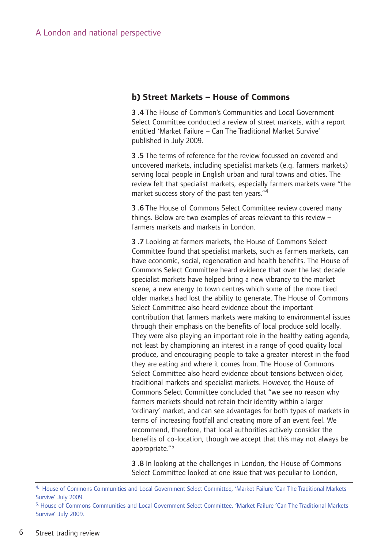#### **b) Street Markets – House of Commons**

**3 .4** The House of Common's Communities and Local Government Select Committee conducted a review of street markets, with a report entitled 'Market Failure – Can The Traditional Market Survive' published in July 2009.

**3 .5** The terms of reference for the review focussed on covered and uncovered markets, including specialist markets (e.g. farmers markets) serving local people in English urban and rural towns and cities. The review felt that specialist markets, especially farmers markets were "the market success story of the past ten years."4

**3 .6** The House of Commons Select Committee review covered many things. Below are two examples of areas relevant to this review – farmers markets and markets in London.

**3 .7** Looking at farmers markets, the House of Commons Select Committee found that specialist markets, such as farmers markets, can have economic, social, regeneration and health benefits. The House of Commons Select Committee heard evidence that over the last decade specialist markets have helped bring a new vibrancy to the market scene, a new energy to town centres which some of the more tired older markets had lost the ability to generate. The House of Commons Select Committee also heard evidence about the important contribution that farmers markets were making to environmental issues through their emphasis on the benefits of local produce sold locally. They were also playing an important role in the healthy eating agenda, not least by championing an interest in a range of good quality local produce, and encouraging people to take a greater interest in the food they are eating and where it comes from. The House of Commons Select Committee also heard evidence about tensions between older, traditional markets and specialist markets. However, the House of Commons Select Committee concluded that "we see no reason why farmers markets should not retain their identity within a larger 'ordinary' market, and can see advantages for both types of markets in terms of increasing footfall and creating more of an event feel. We recommend, therefore, that local authorities actively consider the benefits of co-location, though we accept that this may not always be appropriate."5

**3 .8** In looking at the challenges in London, the House of Commons Select Committee looked at one issue that was peculiar to London,

<sup>4.</sup> House of Commons Communities and Local Government Select Committee, 'Market Failure 'Can The Traditional Markets Survive' July 2009.

<sup>5.</sup> House of Commons Communities and Local Government Select Committee, 'Market Failure 'Can The Traditional Markets Survive' July 2009.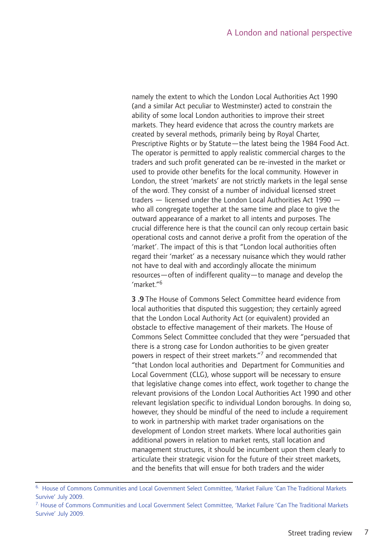namely the extent to which the London Local Authorities Act 1990 (and a similar Act peculiar to Westminster) acted to constrain the ability of some local London authorities to improve their street markets. They heard evidence that across the country markets are created by several methods, primarily being by Royal Charter, Prescriptive Rights or by Statute—the latest being the 1984 Food Act. The operator is permitted to apply realistic commercial charges to the traders and such profit generated can be re-invested in the market or used to provide other benefits for the local community. However in London, the street 'markets' are not strictly markets in the legal sense of the word. They consist of a number of individual licensed street traders — licensed under the London Local Authorities Act 1990 who all congregate together at the same time and place to give the outward appearance of a market to all intents and purposes. The crucial difference here is that the council can only recoup certain basic operational costs and cannot derive a profit from the operation of the 'market'. The impact of this is that "London local authorities often regard their 'market' as a necessary nuisance which they would rather not have to deal with and accordingly allocate the minimum resources—often of indifferent quality—to manage and develop the  $'mark$ et." $6$ 

**3 .9** The House of Commons Select Committee heard evidence from local authorities that disputed this suggestion; they certainly agreed that the London Local Authority Act (or equivalent) provided an obstacle to effective management of their markets. The House of Commons Select Committee concluded that they were "persuaded that there is a strong case for London authorities to be given greater powers in respect of their street markets."<sup>7</sup> and recommended that "that London local authorities and Department for Communities and Local Government (CLG), whose support will be necessary to ensure that legislative change comes into effect, work together to change the relevant provisions of the London Local Authorities Act 1990 and other relevant legislation specific to individual London boroughs. In doing so, however, they should be mindful of the need to include a requirement to work in partnership with market trader organisations on the development of London street markets. Where local authorities gain additional powers in relation to market rents, stall location and management structures, it should be incumbent upon them clearly to articulate their strategic vision for the future of their street markets, and the benefits that will ensue for both traders and the wider

<sup>&</sup>lt;sup>6.</sup> House of Commons Communities and Local Government Select Committee, 'Market Failure 'Can The Traditional Markets Survive' July 2009.

<sup>7.</sup> House of Commons Communities and Local Government Select Committee, 'Market Failure 'Can The Traditional Markets Survive' July 2009.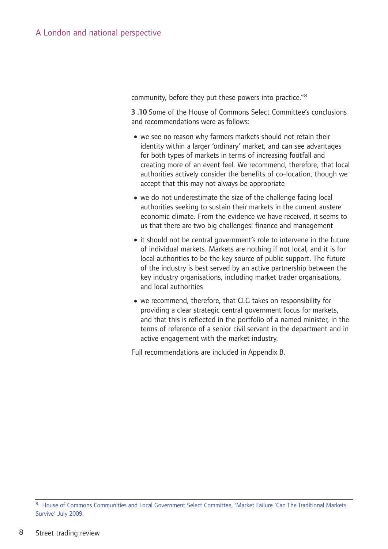community, before they put these powers into practice."8

**3 .10** Some of the House of Commons Select Committee's conclusions and recommendations were as follows:

- •we see no reason why farmers markets should not retain their identity within a larger 'ordinary' market, and can see advantages for both types of markets in terms of increasing footfall and creating more of an event feel. We recommend, therefore, that local authorities actively consider the benefits of co-location, though we accept that this may not always be appropriate
- we do not underestimate the size of the challenge facing local authorities seeking to sustain their markets in the current austere economic climate. From the evidence we have received, it seems to us that there are two big challenges: finance and management
- it should not be central government's role to intervene in the future of individual markets. Markets are nothing if not local, and it is for local authorities to be the key source of public support. The future of the industry is best served by an active partnership between the key industry organisations, including market trader organisations, and local authorities
- •we recommend, therefore, that CLG takes on responsibility for providing a clear strategic central government focus for markets, and that this is reflected in the portfolio of a named minister, in the terms of reference of a senior civil servant in the department and in active engagement with the market industry.

Full recommendations are included in Appendix B.

<sup>8.</sup> House of Commons Communities and Local Government Select Committee, 'Market Failure 'Can The Traditional Markets Survive' July 2009.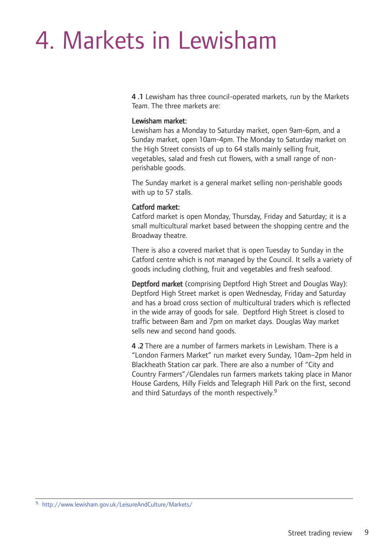## 4. Markets in Lewisham

**4 .1** Lewisham has three council-operated markets, run by the Markets Team. The three markets are:

#### Lewisham market:

Lewisham has a Monday to Saturday market, open 9am-6pm, and a Sunday market, open 10am-4pm. The Monday to Saturday market on the High Street consists of up to 64 stalls mainly selling fruit, vegetables, salad and fresh cut flowers, with a small range of nonperishable goods.

The Sunday market is a general market selling non-perishable goods with up to 57 stalls.

#### Catford market:

Catford market is open Monday, Thursday, Friday and Saturday; it is a small multicultural market based between the shopping centre and the Broadway theatre.

There is also a covered market that is open Tuesday to Sunday in the Catford centre which is not managed by the Council. It sells a variety of goods including clothing, fruit and vegetables and fresh seafood.

Deptford market (comprising Deptford High Street and Douglas Way): Deptford High Street market is open Wednesday, Friday and Saturday and has a broad cross section of multicultural traders which is reflected in the wide array of goods for sale. Deptford High Street is closed to traffic between 8am and 7pm on market days. Douglas Way market sells new and second hand goods.

**4 .2** There are a number of farmers markets in Lewisham. There is a "London Farmers Market" run market every Sunday, 10am–2pm held in Blackheath Station car park. There are also a number of "City and Country Farmers"/Glendales run farmers markets taking place in Manor House Gardens, Hilly Fields and Telegraph Hill Park on the first, second and third Saturdays of the month respectively.<sup>9</sup>

<sup>9.</sup> http://www.lewisham.gov.uk/LeisureAndCulture/Markets/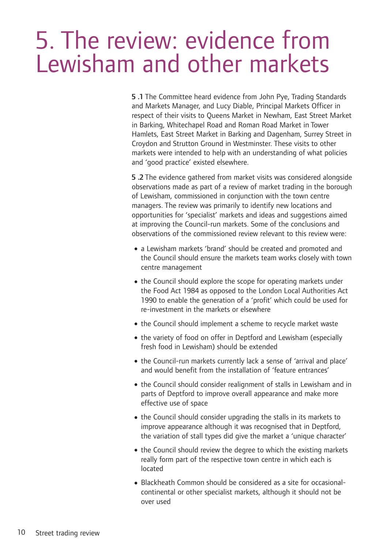### 5. The review: evidence from Lewisham and other markets

**5 .1** The Committee heard evidence from John Pye, Trading Standards and Markets Manager, and Lucy Diable, Principal Markets Officer in respect of their visits to Queens Market in Newham, East Street Market in Barking, Whitechapel Road and Roman Road Market in Tower Hamlets, East Street Market in Barking and Dagenham, Surrey Street in Croydon and Strutton Ground in Westminster. These visits to other markets were intended to help with an understanding of what policies and 'good practice' existed elsewhere.

**5 .2** The evidence gathered from market visits was considered alongside observations made as part of a review of market trading in the borough of Lewisham, commissioned in conjunction with the town centre managers. The review was primarily to identify new locations and opportunities for 'specialist' markets and ideas and suggestions aimed at improving the Council-run markets. Some of the conclusions and observations of the commissioned review relevant to this review were:

- a Lewisham markets 'brand' should be created and promoted and the Council should ensure the markets team works closely with town centre management
- the Council should explore the scope for operating markets under the Food Act 1984 as opposed to the London Local Authorities Act 1990 to enable the generation of a 'profit' which could be used for re-investment in the markets or elsewhere
- the Council should implement a scheme to recycle market waste
- the variety of food on offer in Deptford and Lewisham (especially fresh food in Lewisham) should be extended
- the Council-run markets currently lack a sense of 'arrival and place' and would benefit from the installation of 'feature entrances'
- the Council should consider realignment of stalls in Lewisham and in parts of Deptford to improve overall appearance and make more effective use of space
- the Council should consider upgrading the stalls in its markets to improve appearance although it was recognised that in Deptford, the variation of stall types did give the market a 'unique character'
- the Council should review the degree to which the existing markets really form part of the respective town centre in which each is located
- •Blackheath Common should be considered as a site for occasionalcontinental or other specialist markets, although it should not be over used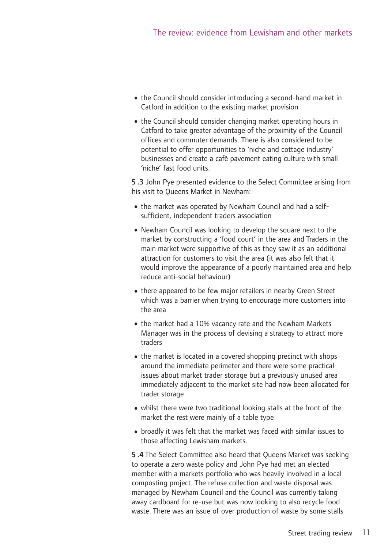- the Council should consider introducing a second-hand market in Catford in addition to the existing market provision
- the Council should consider changing market operating hours in Catford to take greater advantage of the proximity of the Council offices and commuter demands. There is also considered to be potential to offer opportunities to 'niche and cottage industry' businesses and create a café pavement eating culture with small 'niche' fast food units.

**5 .3** John Pye presented evidence to the Select Committee arising from his visit to Queens Market in Newham:

- •the market was operated by Newham Council and had a selfsufficient, independent traders association
- •Newham Council was looking to develop the square next to the market by constructing a 'food court' in the area and Traders in the main market were supportive of this as they saw it as an additional attraction for customers to visit the area (it was also felt that it would improve the appearance of a poorly maintained area and help reduce anti-social behaviour)
- there appeared to be few major retailers in nearby Green Street which was a barrier when trying to encourage more customers into the area
- the market had a 10% vacancy rate and the Newham Markets Manager was in the process of devising a strategy to attract more traders
- the market is located in a covered shopping precinct with shops around the immediate perimeter and there were some practical issues about market trader storage but a previously unused area immediately adjacent to the market site had now been allocated for trader storage
- whilst there were two traditional looking stalls at the front of the market the rest were mainly of a table type
- •broadly it was felt that the market was faced with similar issues to those affecting Lewisham markets.

**5 .4** The Select Committee also heard that Queens Market was seeking to operate a zero waste policy and John Pye had met an elected member with a markets portfolio who was heavily involved in a local composting project. The refuse collection and waste disposal was managed by Newham Council and the Council was currently taking away cardboard for re-use but was now looking to also recycle food waste. There was an issue of over production of waste by some stalls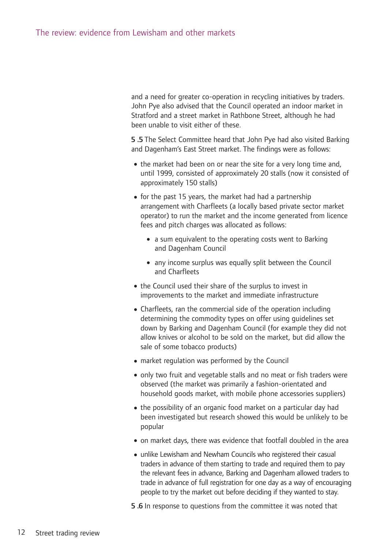and a need for greater co-operation in recycling initiatives by traders. John Pye also advised that the Council operated an indoor market in Stratford and a street market in Rathbone Street, although he had been unable to visit either of these.

**5 .5** The Select Committee heard that John Pye had also visited Barking and Dagenham's East Street market. The findings were as follows:

- the market had been on or near the site for a very long time and, until 1999, consisted of approximately 20 stalls (now it consisted of approximately 150 stalls)
- for the past 15 years, the market had had a partnership arrangement with Charfleets (a locally based private sector market operator) to run the market and the income generated from licence fees and pitch charges was allocated as follows:
	- a sum equivalent to the operating costs went to Barking and Dagenham Council
	- any income surplus was equally split between the Council and Charfleets
- the Council used their share of the surplus to invest in improvements to the market and immediate infrastructure
- •Charfleets, ran the commercial side of the operation including determining the commodity types on offer using guidelines set down by Barking and Dagenham Council (for example they did not allow knives or alcohol to be sold on the market, but did allow the sale of some tobacco products)
- •market regulation was performed by the Council
- •only two fruit and vegetable stalls and no meat or fish traders were observed (the market was primarily a fashion-orientated and household goods market, with mobile phone accessories suppliers)
- the possibility of an organic food market on a particular day had been investigated but research showed this would be unlikely to be popular
- •on market days, there was evidence that footfall doubled in the area
- unlike Lewisham and Newham Councils who registered their casual traders in advance of them starting to trade and required them to pay the relevant fees in advance, Barking and Dagenham allowed traders to trade in advance of full registration for one day as a way of encouraging people to try the market out before deciding if they wanted to stay.
- **5 .6** In response to questions from the committee it was noted that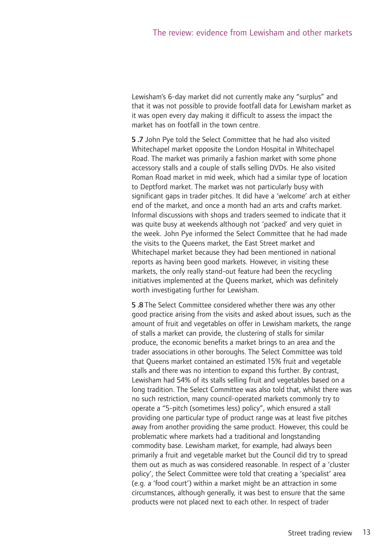Lewisham's 6-day market did not currently make any "surplus" and that it was not possible to provide footfall data for Lewisham market as it was open every day making it difficult to assess the impact the market has on footfall in the town centre.

**5 .7** John Pye told the Select Committee that he had also visited Whitechapel market opposite the London Hospital in Whitechapel Road. The market was primarily a fashion market with some phone accessory stalls and a couple of stalls selling DVDs. He also visited Roman Road market in mid week, which had a similar type of location to Deptford market. The market was not particularly busy with significant gaps in trader pitches. It did have a 'welcome' arch at either end of the market, and once a month had an arts and crafts market. Informal discussions with shops and traders seemed to indicate that it was quite busy at weekends although not 'packed' and very quiet in the week. John Pye informed the Select Committee that he had made the visits to the Queens market, the East Street market and Whitechapel market because they had been mentioned in national reports as having been good markets. However, in visiting these markets, the only really stand-out feature had been the recycling initiatives implemented at the Queens market, which was definitely worth investigating further for Lewisham.

**5 .8** The Select Committee considered whether there was any other good practice arising from the visits and asked about issues, such as the amount of fruit and vegetables on offer in Lewisham markets, the range of stalls a market can provide, the clustering of stalls for similar produce, the economic benefits a market brings to an area and the trader associations in other boroughs. The Select Committee was told that Queens market contained an estimated 15% fruit and vegetable stalls and there was no intention to expand this further. By contrast, Lewisham had 54% of its stalls selling fruit and vegetables based on a long tradition. The Select Committee was also told that, whilst there was no such restriction, many council-operated markets commonly try to operate a "5-pitch (sometimes less) policy", which ensured a stall providing one particular type of product range was at least five pitches away from another providing the same product. However, this could be problematic where markets had a traditional and longstanding commodity base. Lewisham market, for example, had always been primarily a fruit and vegetable market but the Council did try to spread them out as much as was considered reasonable. In respect of a 'cluster policy', the Select Committee were told that creating a 'specialist' area (e.g. a 'food court') within a market might be an attraction in some circumstances, although generally, it was best to ensure that the same products were not placed next to each other. In respect of trader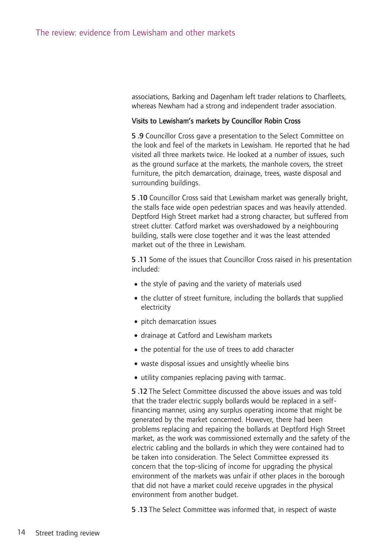associations, Barking and Dagenham left trader relations to Charfleets, whereas Newham had a strong and independent trader association.

#### Visits to Lewisham's markets by Councillor Robin Cross

**5 .9** Councillor Cross gave a presentation to the Select Committee on the look and feel of the markets in Lewisham. He reported that he had visited all three markets twice. He looked at a number of issues, such as the ground surface at the markets, the manhole covers, the street furniture, the pitch demarcation, drainage, trees, waste disposal and surrounding buildings.

**5 .10** Councillor Cross said that Lewisham market was generally bright, the stalls face wide open pedestrian spaces and was heavily attended. Deptford High Street market had a strong character, but suffered from street clutter. Catford market was overshadowed by a neighbouring building, stalls were close together and it was the least attended market out of the three in Lewisham.

**5 .11** Some of the issues that Councillor Cross raised in his presentation included:

- the style of paving and the variety of materials used
- the clutter of street furniture, including the bollards that supplied electricity
- pitch demarcation issues
- •drainage at Catford and Lewisham markets
- the potential for the use of trees to add character
- •waste disposal issues and unsightly wheelie bins
- •utility companies replacing paving with tarmac.

**5 .12** The Select Committee discussed the above issues and was told that the trader electric supply bollards would be replaced in a selffinancing manner, using any surplus operating income that might be generated by the market concerned. However, there had been problems replacing and repairing the bollards at Deptford High Street market, as the work was commissioned externally and the safety of the electric cabling and the bollards in which they were contained had to be taken into consideration. The Select Committee expressed its concern that the top-slicing of income for upgrading the physical environment of the markets was unfair if other places in the borough that did not have a market could receive upgrades in the physical environment from another budget.

**5 .13** The Select Committee was informed that, in respect of waste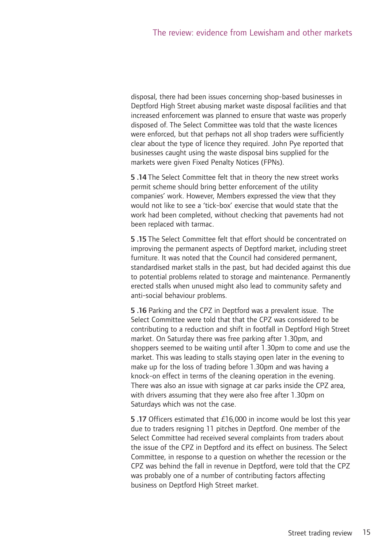disposal, there had been issues concerning shop-based businesses in Deptford High Street abusing market waste disposal facilities and that increased enforcement was planned to ensure that waste was properly disposed of. The Select Committee was told that the waste licences were enforced, but that perhaps not all shop traders were sufficiently clear about the type of licence they required. John Pye reported that businesses caught using the waste disposal bins supplied for the markets were given Fixed Penalty Notices (FPNs).

**5 .14** The Select Committee felt that in theory the new street works permit scheme should bring better enforcement of the utility companies' work. However, Members expressed the view that they would not like to see a 'tick-box' exercise that would state that the work had been completed, without checking that pavements had not been replaced with tarmac.

**5 .15** The Select Committee felt that effort should be concentrated on improving the permanent aspects of Deptford market, including street furniture. It was noted that the Council had considered permanent, standardised market stalls in the past, but had decided against this due to potential problems related to storage and maintenance. Permanently erected stalls when unused might also lead to community safety and anti-social behaviour problems.

**5 .16** Parking and the CPZ in Deptford was a prevalent issue. The Select Committee were told that that the CPZ was considered to be contributing to a reduction and shift in footfall in Deptford High Street market. On Saturday there was free parking after 1.30pm, and shoppers seemed to be waiting until after 1.30pm to come and use the market. This was leading to stalls staying open later in the evening to make up for the loss of trading before 1.30pm and was having a knock-on effect in terms of the cleaning operation in the evening. There was also an issue with signage at car parks inside the CPZ area, with drivers assuming that they were also free after 1.30pm on Saturdays which was not the case.

**5 .17** Officers estimated that £16,000 in income would be lost this year due to traders resigning 11 pitches in Deptford. One member of the Select Committee had received several complaints from traders about the issue of the CPZ in Deptford and its effect on business. The Select Committee, in response to a question on whether the recession or the CPZ was behind the fall in revenue in Deptford, were told that the CPZ was probably one of a number of contributing factors affecting business on Deptford High Street market.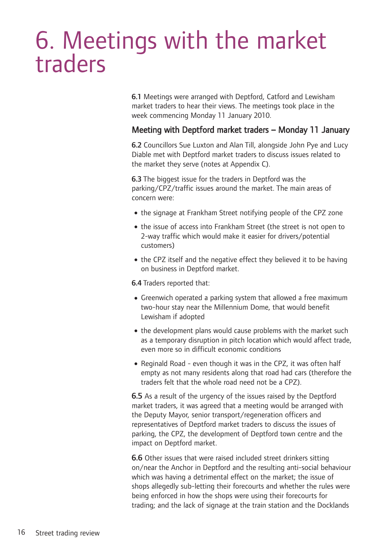### 6. Meetings with the market traders

**6.1** Meetings were arranged with Deptford, Catford and Lewisham market traders to hear their views. The meetings took place in the week commencing Monday 11 January 2010.

#### Meeting with Deptford market traders – Monday 11 January

**6.2** Councillors Sue Luxton and Alan Till, alongside John Pye and Lucy Diable met with Deptford market traders to discuss issues related to the market they serve (notes at Appendix C).

**6.3** The biggest issue for the traders in Deptford was the parking/CPZ/traffic issues around the market. The main areas of concern were:

- the signage at Frankham Street notifying people of the CPZ zone
- the issue of access into Frankham Street (the street is not open to 2-way traffic which would make it easier for drivers/potential customers)
- the CPZ itself and the negative effect they believed it to be having on business in Deptford market.

**6.4** Traders reported that:

- •Greenwich operated a parking system that allowed a free maximum two-hour stay near the Millennium Dome, that would benefit Lewisham if adopted
- the development plans would cause problems with the market such as a temporary disruption in pitch location which would affect trade, even more so in difficult economic conditions
- Reginald Road even though it was in the CPZ, it was often half empty as not many residents along that road had cars (therefore the traders felt that the whole road need not be a CPZ).

**6.5** As a result of the urgency of the issues raised by the Deptford market traders, it was agreed that a meeting would be arranged with the Deputy Mayor, senior transport/regeneration officers and representatives of Deptford market traders to discuss the issues of parking, the CPZ, the development of Deptford town centre and the impact on Deptford market.

**6.6** Other issues that were raised included street drinkers sitting on/near the Anchor in Deptford and the resulting anti-social behaviour which was having a detrimental effect on the market; the issue of shops allegedly sub-letting their forecourts and whether the rules were being enforced in how the shops were using their forecourts for trading; and the lack of signage at the train station and the Docklands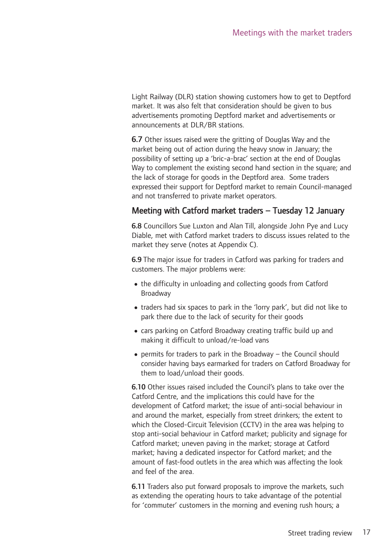Light Railway (DLR) station showing customers how to get to Deptford market. It was also felt that consideration should be given to bus advertisements promoting Deptford market and advertisements or announcements at DLR/BR stations.

**6.7** Other issues raised were the gritting of Douglas Way and the market being out of action during the heavy snow in January; the possibility of setting up a 'bric-a-brac' section at the end of Douglas Way to complement the existing second hand section in the square; and the lack of storage for goods in the Deptford area. Some traders expressed their support for Deptford market to remain Council-managed and not transferred to private market operators.

#### Meeting with Catford market traders – Tuesday 12 January

**6.8** Councillors Sue Luxton and Alan Till, alongside John Pye and Lucy Diable, met with Catford market traders to discuss issues related to the market they serve (notes at Appendix C).

**6.9** The major issue for traders in Catford was parking for traders and customers. The major problems were:

- the difficulty in unloading and collecting goods from Catford Broadway
- traders had six spaces to park in the 'lorry park', but did not like to park there due to the lack of security for their goods
- •cars parking on Catford Broadway creating traffic build up and making it difficult to unload/re-load vans
- •permits for traders to park in the Broadway the Council should consider having bays earmarked for traders on Catford Broadway for them to load/unload their goods.

**6.10** Other issues raised included the Council's plans to take over the Catford Centre, and the implications this could have for the development of Catford market; the issue of anti-social behaviour in and around the market, especially from street drinkers; the extent to which the Closed-Circuit Television (CCTV) in the area was helping to stop anti-social behaviour in Catford market; publicity and signage for Catford market; uneven paving in the market; storage at Catford market; having a dedicated inspector for Catford market; and the amount of fast-food outlets in the area which was affecting the look and feel of the area.

**6.11** Traders also put forward proposals to improve the markets, such as extending the operating hours to take advantage of the potential for 'commuter' customers in the morning and evening rush hours; a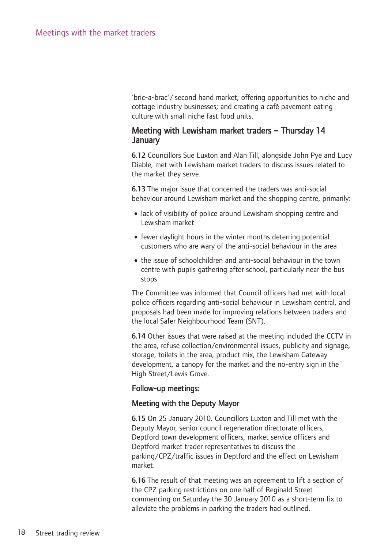'bric-a-brac'/ second hand market; offering opportunities to niche and cottage industry businesses; and creating a café pavement eating culture with small niche fast food units.

#### Meeting with Lewisham market traders – Thursday 14 **January**

**6.12** Councillors Sue Luxton and Alan Till, alongside John Pye and Lucy Diable, met with Lewisham market traders to discuss issues related to the market they serve.

**6.13** The major issue that concerned the traders was anti-social behaviour around Lewisham market and the shopping centre, primarily:

- lack of visibility of police around Lewisham shopping centre and Lewisham market
- •fewer daylight hours in the winter months deterring potential customers who are wary of the anti-social behaviour in the area
- the issue of schoolchildren and anti-social behaviour in the town centre with pupils gathering after school, particularly near the bus stops.

The Committee was informed that Council officers had met with local police officers regarding anti-social behaviour in Lewisham central, and proposals had been made for improving relations between traders and the local Safer Neighbourhood Team (SNT).

**6.14** Other issues that were raised at the meeting included the CCTV in the area, refuse collection/environmental issues, publicity and signage, storage, toilets in the area, product mix, the Lewisham Gateway development, a canopy for the market and the no-entry sign in the High Street/Lewis Grove.

#### Follow-up meetings:

#### Meeting with the Deputy Mayor

**6.15** On 25 January 2010, Councillors Luxton and Till met with the Deputy Mayor, senior council regeneration directorate officers, Deptford town development officers, market service officers and Deptford market trader representatives to discuss the parking/CPZ/traffic issues in Deptford and the effect on Lewisham market.

**6.16** The result of that meeting was an agreement to lift a section of the CPZ parking restrictions on one half of Reginald Street commencing on Saturday the 30 January 2010 as a short-term fix to alleviate the problems in parking the traders had outlined.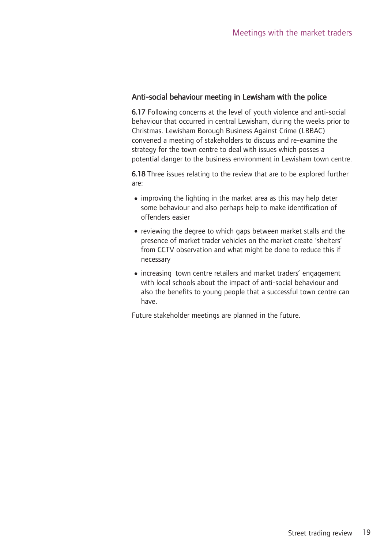#### Anti-social behaviour meeting in Lewisham with the police

**6.17** Following concerns at the level of youth violence and anti-social behaviour that occurred in central Lewisham, during the weeks prior to Christmas. Lewisham Borough Business Against Crime (LBBAC) convened a meeting of stakeholders to discuss and re-examine the strategy for the town centre to deal with issues which posses a potential danger to the business environment in Lewisham town centre.

**6.18** Three issues relating to the review that are to be explored further are:

- •improving the lighting in the market area as this may help deter some behaviour and also perhaps help to make identification of offenders easier
- reviewing the degree to which gaps between market stalls and the presence of market trader vehicles on the market create 'shelters' from CCTV observation and what might be done to reduce this if necessary
- •increasing town centre retailers and market traders' engagement with local schools about the impact of anti-social behaviour and also the benefits to young people that a successful town centre can have.

Future stakeholder meetings are planned in the future.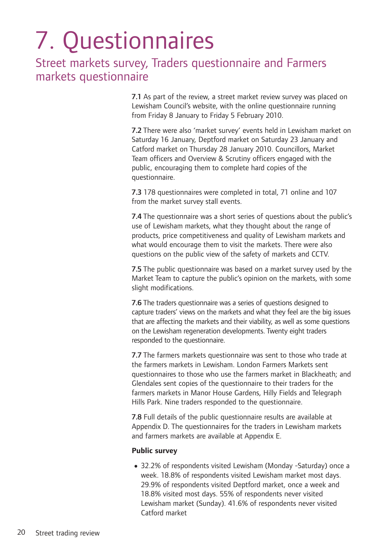## 7. Questionnaires

#### Street markets survey, Traders questionnaire and Farmers markets questionnaire

**7.1** As part of the review, a street market review survey was placed on Lewisham Council's website, with the online questionnaire running from Friday 8 January to Friday 5 February 2010.

**7.2** There were also 'market survey' events held in Lewisham market on Saturday 16 January, Deptford market on Saturday 23 January and Catford market on Thursday 28 January 2010. Councillors, Market Team officers and Overview & Scrutiny officers engaged with the public, encouraging them to complete hard copies of the questionnaire.

**7.3** 178 questionnaires were completed in total, 71 online and 107 from the market survey stall events.

**7.4** The questionnaire was a short series of questions about the public's use of Lewisham markets, what they thought about the range of products, price competitiveness and quality of Lewisham markets and what would encourage them to visit the markets. There were also questions on the public view of the safety of markets and CCTV.

**7.5** The public questionnaire was based on a market survey used by the Market Team to capture the public's opinion on the markets, with some slight modifications.

**7.6** The traders questionnaire was a series of questions designed to capture traders' views on the markets and what they feel are the big issues that are affecting the markets and their viability, as well as some questions on the Lewisham regeneration developments. Twenty eight traders responded to the questionnaire.

**7.7** The farmers markets questionnaire was sent to those who trade at the farmers markets in Lewisham. London Farmers Markets sent questionnaires to those who use the farmers market in Blackheath; and Glendales sent copies of the questionnaire to their traders for the farmers markets in Manor House Gardens, Hilly Fields and Telegraph Hills Park. Nine traders responded to the questionnaire.

**7.8** Full details of the public questionnaire results are available at Appendix D. The questionnaires for the traders in Lewisham markets and farmers markets are available at Appendix E.

#### **Public survey**

•32.2% of respondents visited Lewisham (Monday -Saturday) once a week. 18.8% of respondents visited Lewisham market most days. 29.9% of respondents visited Deptford market, once a week and 18.8% visited most days. 55% of respondents never visited Lewisham market (Sunday). 41.6% of respondents never visited Catford market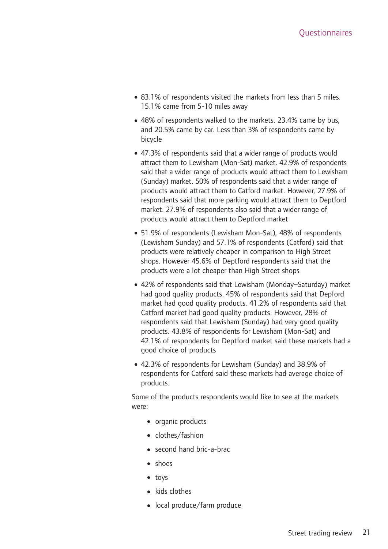- •83.1% of respondents visited the markets from less than 5 miles. 15.1% came from 5-10 miles away
- 48% of respondents walked to the markets. 23.4% came by bus, and 20.5% came by car. Less than 3% of respondents came by bicycle
- •47.3% of respondents said that a wider range of products would attract them to Lewisham (Mon-Sat) market. 42.9% of respondents said that a wider range of products would attract them to Lewisham (Sunday) market. 50% of respondents said that a wider range of products would attract them to Catford market. However, 27.9% of respondents said that more parking would attract them to Deptford market. 27.9% of respondents also said that a wider range of products would attract them to Deptford market
- •51.9% of respondents (Lewisham Mon-Sat), 48% of respondents (Lewisham Sunday) and 57.1% of respondents (Catford) said that products were relatively cheaper in comparison to High Street shops. However 45.6% of Deptford respondents said that the products were a lot cheaper than High Street shops
- •42% of respondents said that Lewisham (Monday–Saturday) market had good quality products. 45% of respondents said that Depford market had good quality products. 41.2% of respondents said that Catford market had good quality products. However, 28% of respondents said that Lewisham (Sunday) had very good quality products. 43.8% of respondents for Lewisham (Mon-Sat) and 42.1% of respondents for Deptford market said these markets had a good choice of products
- •42.3% of respondents for Lewisham (Sunday) and 38.9% of respondents for Catford said these markets had average choice of products.

Some of the products respondents would like to see at the markets were:

- organic products
- •clothes/fashion
- second hand bric-a-brac
- •shoes
- toys
- kids clothes
- •local produce/farm produce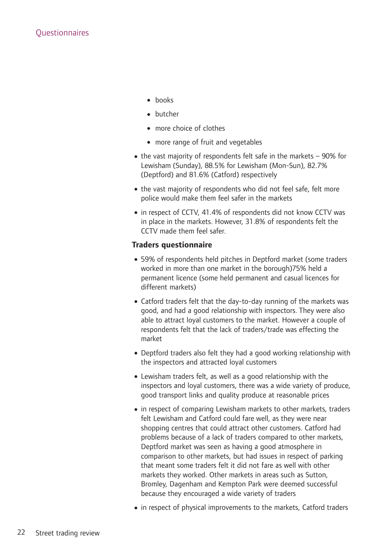- books
- butcher
- more choice of clothes
- more range of fruit and vegetables
- $\bullet$  the vast majority of respondents felt safe in the markets  $-$  90% for Lewisham (Sunday), 88.5% for Lewisham (Mon-Sun), 82.7% (Deptford) and 81.6% (Catford) respectively
- the vast majority of respondents who did not feel safe, felt more police would make them feel safer in the markets
- •in respect of CCTV, 41.4% of respondents did not know CCTV was in place in the markets. However, 31.8% of respondents felt the CCTV made them feel safer.

#### **Traders questionnaire**

- •59% of respondents held pitches in Deptford market (some traders worked in more than one market in the borough)75% held a permanent licence (some held permanent and casual licences for different markets)
- •Catford traders felt that the day-to-day running of the markets was good, and had a good relationship with inspectors. They were also able to attract loyal customers to the market. However a couple of respondents felt that the lack of traders/trade was effecting the market
- •Deptford traders also felt they had a good working relationship with the inspectors and attracted loyal customers
- •Lewisham traders felt, as well as a good relationship with the inspectors and loyal customers, there was a wide variety of produce, good transport links and quality produce at reasonable prices
- in respect of comparing Lewisham markets to other markets, traders felt Lewisham and Catford could fare well, as they were near shopping centres that could attract other customers. Catford had problems because of a lack of traders compared to other markets, Deptford market was seen as having a good atmosphere in comparison to other markets, but had issues in respect of parking that meant some traders felt it did not fare as well with other markets they worked. Other markets in areas such as Sutton, Bromley, Dagenham and Kempton Park were deemed successful because they encouraged a wide variety of traders
- in respect of physical improvements to the markets, Catford traders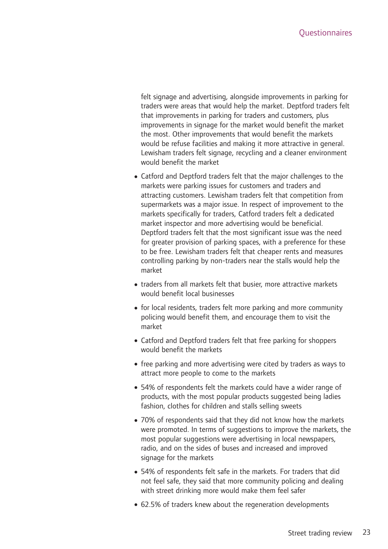felt signage and advertising, alongside improvements in parking for traders were areas that would help the market. Deptford traders felt that improvements in parking for traders and customers, plus improvements in signage for the market would benefit the market the most. Other improvements that would benefit the markets would be refuse facilities and making it more attractive in general. Lewisham traders felt signage, recycling and a cleaner environment would benefit the market

- •Catford and Deptford traders felt that the major challenges to the markets were parking issues for customers and traders and attracting customers. Lewisham traders felt that competition from supermarkets was a major issue. In respect of improvement to the markets specifically for traders, Catford traders felt a dedicated market inspector and more advertising would be beneficial. Deptford traders felt that the most significant issue was the need for greater provision of parking spaces, with a preference for these to be free. Lewisham traders felt that cheaper rents and measures controlling parking by non-traders near the stalls would help the market
- traders from all markets felt that busier, more attractive markets would benefit local businesses
- •for local residents, traders felt more parking and more community policing would benefit them, and encourage them to visit the market
- •Catford and Deptford traders felt that free parking for shoppers would benefit the markets
- •free parking and more advertising were cited by traders as ways to attract more people to come to the markets
- •54% of respondents felt the markets could have a wider range of products, with the most popular products suggested being ladies fashion, clothes for children and stalls selling sweets
- •70% of respondents said that they did not know how the markets were promoted. In terms of suggestions to improve the markets, the most popular suggestions were advertising in local newspapers, radio, and on the sides of buses and increased and improved signage for the markets
- •54% of respondents felt safe in the markets. For traders that did not feel safe, they said that more community policing and dealing with street drinking more would make them feel safer
- •62.5% of traders knew about the regeneration developments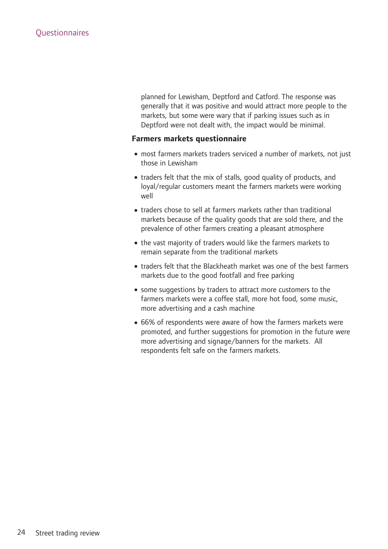planned for Lewisham, Deptford and Catford. The response was generally that it was positive and would attract more people to the markets, but some were wary that if parking issues such as in Deptford were not dealt with, the impact would be minimal.

#### **Farmers markets questionnaire**

- most farmers markets traders serviced a number of markets, not just those in Lewisham
- traders felt that the mix of stalls, good quality of products, and loyal/regular customers meant the farmers markets were working well
- traders chose to sell at farmers markets rather than traditional markets because of the quality goods that are sold there, and the prevalence of other farmers creating a pleasant atmosphere
- the vast majority of traders would like the farmers markets to remain separate from the traditional markets
- traders felt that the Blackheath market was one of the best farmers markets due to the good footfall and free parking
- some suggestions by traders to attract more customers to the farmers markets were a coffee stall, more hot food, some music, more advertising and a cash machine
- •66% of respondents were aware of how the farmers markets were promoted, and further suggestions for promotion in the future were more advertising and signage/banners for the markets. All respondents felt safe on the farmers markets.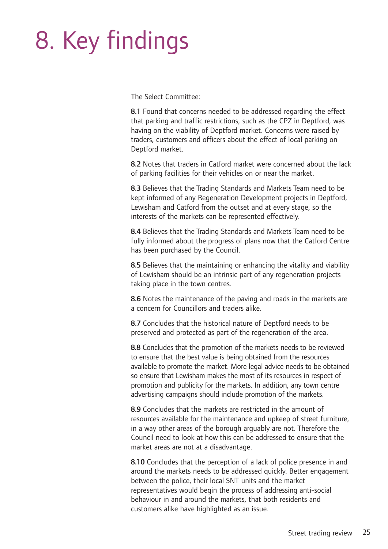## 8. Key findings

The Select Committee:

**8.1** Found that concerns needed to be addressed regarding the effect that parking and traffic restrictions, such as the CPZ in Deptford, was having on the viability of Deptford market. Concerns were raised by traders, customers and officers about the effect of local parking on Deptford market.

**8.2** Notes that traders in Catford market were concerned about the lack of parking facilities for their vehicles on or near the market.

**8.3** Believes that the Trading Standards and Markets Team need to be kept informed of any Regeneration Development projects in Deptford, Lewisham and Catford from the outset and at every stage, so the interests of the markets can be represented effectively.

**8.4** Believes that the Trading Standards and Markets Team need to be fully informed about the progress of plans now that the Catford Centre has been purchased by the Council.

**8.5** Believes that the maintaining or enhancing the vitality and viability of Lewisham should be an intrinsic part of any regeneration projects taking place in the town centres.

**8.6** Notes the maintenance of the paving and roads in the markets are a concern for Councillors and traders alike.

**8.7** Concludes that the historical nature of Deptford needs to be preserved and protected as part of the regeneration of the area.

**8.8** Concludes that the promotion of the markets needs to be reviewed to ensure that the best value is being obtained from the resources available to promote the market. More legal advice needs to be obtained so ensure that Lewisham makes the most of its resources in respect of promotion and publicity for the markets. In addition, any town centre advertising campaigns should include promotion of the markets.

**8.9** Concludes that the markets are restricted in the amount of resources available for the maintenance and upkeep of street furniture, in a way other areas of the borough arguably are not. Therefore the Council need to look at how this can be addressed to ensure that the market areas are not at a disadvantage.

**8.10** Concludes that the perception of a lack of police presence in and around the markets needs to be addressed quickly. Better engagement between the police, their local SNT units and the market representatives would begin the process of addressing anti-social behaviour in and around the markets, that both residents and customers alike have highlighted as an issue.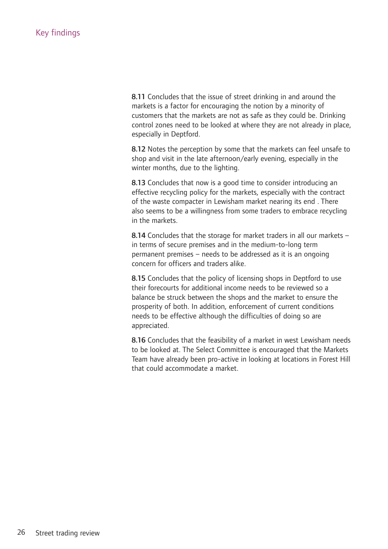**8.11** Concludes that the issue of street drinking in and around the markets is a factor for encouraging the notion by a minority of customers that the markets are not as safe as they could be. Drinking control zones need to be looked at where they are not already in place, especially in Deptford.

**8.12** Notes the perception by some that the markets can feel unsafe to shop and visit in the late afternoon/early evening, especially in the winter months, due to the lighting.

**8.13** Concludes that now is a good time to consider introducing an effective recycling policy for the markets, especially with the contract of the waste compacter in Lewisham market nearing its end . There also seems to be a willingness from some traders to embrace recycling in the markets.

**8.14** Concludes that the storage for market traders in all our markets – in terms of secure premises and in the medium-to-long term permanent premises – needs to be addressed as it is an ongoing concern for officers and traders alike.

**8.15** Concludes that the policy of licensing shops in Deptford to use their forecourts for additional income needs to be reviewed so a balance be struck between the shops and the market to ensure the prosperity of both. In addition, enforcement of current conditions needs to be effective although the difficulties of doing so are appreciated.

**8.16** Concludes that the feasibility of a market in west Lewisham needs to be looked at. The Select Committee is encouraged that the Markets Team have already been pro-active in looking at locations in Forest Hill that could accommodate a market.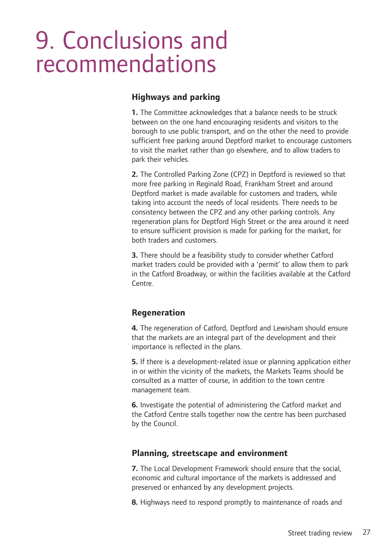## 9. Conclusions and recommendations

#### **Highways and parking**

**1.** The Committee acknowledges that a balance needs to be struck between on the one hand encouraging residents and visitors to the borough to use public transport, and on the other the need to provide sufficient free parking around Deptford market to encourage customers to visit the market rather than go elsewhere, and to allow traders to park their vehicles.

**2.** The Controlled Parking Zone (CPZ) in Deptford is reviewed so that more free parking in Reginald Road, Frankham Street and around Deptford market is made available for customers and traders, while taking into account the needs of local residents. There needs to be consistency between the CPZ and any other parking controls. Any regeneration plans for Deptford High Street or the area around it need to ensure sufficient provision is made for parking for the market, for both traders and customers.

**3.** There should be a feasibility study to consider whether Catford market traders could be provided with a 'permit' to allow them to park in the Catford Broadway, or within the facilities available at the Catford Centre.

#### **Regeneration**

**4.** The regeneration of Catford, Deptford and Lewisham should ensure that the markets are an integral part of the development and their importance is reflected in the plans.

**5.** If there is a development-related issue or planning application either in or within the vicinity of the markets, the Markets Teams should be consulted as a matter of course, in addition to the town centre management team.

**6.** Investigate the potential of administering the Catford market and the Catford Centre stalls together now the centre has been purchased by the Council.

#### **Planning, streetscape and environment**

**7.** The Local Development Framework should ensure that the social, economic and cultural importance of the markets is addressed and preserved or enhanced by any development projects.

**8.** Highways need to respond promptly to maintenance of roads and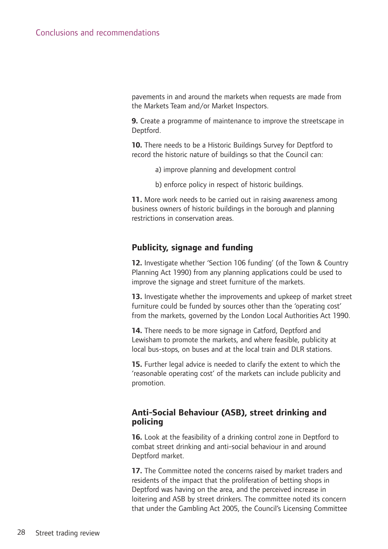pavements in and around the markets when requests are made from the Markets Team and/or Market Inspectors.

**9.** Create a programme of maintenance to improve the streetscape in Deptford.

**10.** There needs to be a Historic Buildings Survey for Deptford to record the historic nature of buildings so that the Council can:

- a) improve planning and development control
- b) enforce policy in respect of historic buildings.

**11.** More work needs to be carried out in raising awareness among business owners of historic buildings in the borough and planning restrictions in conservation areas.

#### **Publicity, signage and funding**

**12.** Investigate whether 'Section 106 funding' (of the Town & Country Planning Act 1990) from any planning applications could be used to improve the signage and street furniture of the markets.

**13.** Investigate whether the improvements and upkeep of market street furniture could be funded by sources other than the 'operating cost' from the markets, governed by the London Local Authorities Act 1990.

**14.** There needs to be more signage in Catford, Deptford and Lewisham to promote the markets, and where feasible, publicity at local bus-stops, on buses and at the local train and DLR stations.

**15.** Further legal advice is needed to clarify the extent to which the 'reasonable operating cost' of the markets can include publicity and promotion.

#### **Anti-Social Behaviour (ASB), street drinking and policing**

**16.** Look at the feasibility of a drinking control zone in Deptford to combat street drinking and anti-social behaviour in and around Deptford market.

**17.** The Committee noted the concerns raised by market traders and residents of the impact that the proliferation of betting shops in Deptford was having on the area, and the perceived increase in loitering and ASB by street drinkers. The committee noted its concern that under the Gambling Act 2005, the Council's Licensing Committee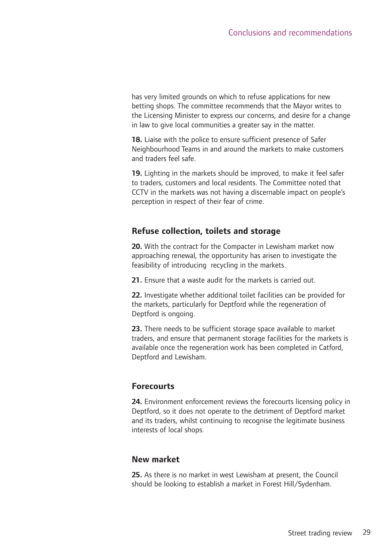has very limited grounds on which to refuse applications for new betting shops. The committee recommends that the Mayor writes to the Licensing Minister to express our concerns, and desire for a change in law to give local communities a greater say in the matter.

**18.** Liaise with the police to ensure sufficient presence of Safer Neighbourhood Teams in and around the markets to make customers and traders feel safe.

**19.** Lighting in the markets should be improved, to make it feel safer to traders, customers and local residents. The Committee noted that CCTV in the markets was not having a discernable impact on people's perception in respect of their fear of crime.

#### **Refuse collection, toilets and storage**

**20.** With the contract for the Compacter in Lewisham market now approaching renewal, the opportunity has arisen to investigate the feasibility of introducing recycling in the markets.

**21.** Ensure that a waste audit for the markets is carried out.

**22.** Investigate whether additional toilet facilities can be provided for the markets, particularly for Deptford while the regeneration of Deptford is ongoing.

**23.** There needs to be sufficient storage space available to market traders, and ensure that permanent storage facilities for the markets is available once the regeneration work has been completed in Catford, Deptford and Lewisham.

#### **Forecourts**

**24.** Environment enforcement reviews the forecourts licensing policy in Deptford, so it does not operate to the detriment of Deptford market and its traders, whilst continuing to recognise the legitimate business interests of local shops.

#### **New market**

**25.** As there is no market in west Lewisham at present, the Council should be looking to establish a market in Forest Hill/Sydenham.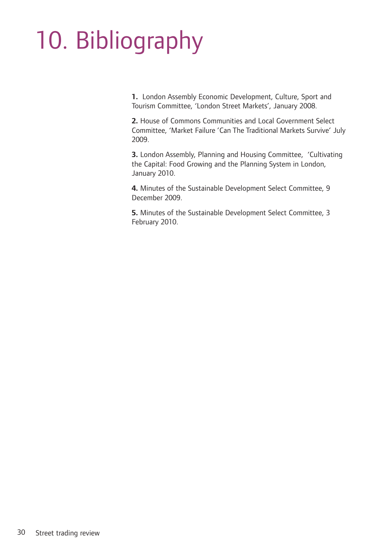# 10. Bibliography

**1.** London Assembly Economic Development, Culture, Sport and Tourism Committee, 'London Street Markets', January 2008.

**2.** House of Commons Communities and Local Government Select Committee, 'Market Failure 'Can The Traditional Markets Survive' July 2009.

**3.** London Assembly, Planning and Housing Committee, 'Cultivating the Capital: Food Growing and the Planning System in London, January 2010.

**4.** Minutes of the Sustainable Development Select Committee, 9 December 2009.

**5.** Minutes of the Sustainable Development Select Committee, 3 February 2010.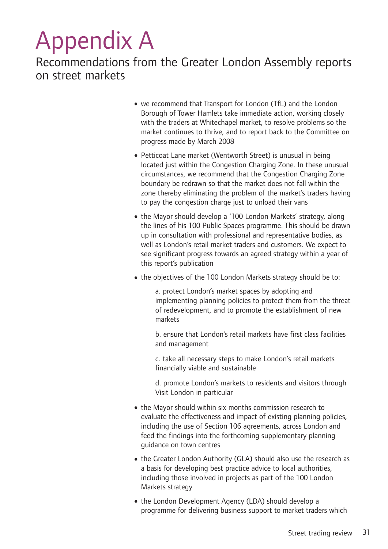## Appendix A

Recommendations from the Greater London Assembly reports on street markets

- •we recommend that Transport for London (TfL) and the London Borough of Tower Hamlets take immediate action, working closely with the traders at Whitechapel market, to resolve problems so the market continues to thrive, and to report back to the Committee on progress made by March 2008
- Petticoat Lane market (Wentworth Street) is unusual in being located just within the Congestion Charging Zone. In these unusual circumstances, we recommend that the Congestion Charging Zone boundary be redrawn so that the market does not fall within the zone thereby eliminating the problem of the market's traders having to pay the congestion charge just to unload their vans
- the Mayor should develop a '100 London Markets' strategy, along the lines of his 100 Public Spaces programme. This should be drawn up in consultation with professional and representative bodies, as well as London's retail market traders and customers. We expect to see significant progress towards an agreed strategy within a year of this report's publication
- the objectives of the 100 London Markets strategy should be to:

a. protect London's market spaces by adopting and implementing planning policies to protect them from the threat of redevelopment, and to promote the establishment of new markets

b. ensure that London's retail markets have first class facilities and management

c. take all necessary steps to make London's retail markets financially viable and sustainable

d. promote London's markets to residents and visitors through Visit London in particular

- the Mayor should within six months commission research to evaluate the effectiveness and impact of existing planning policies, including the use of Section 106 agreements, across London and feed the findings into the forthcoming supplementary planning guidance on town centres
- the Greater London Authority (GLA) should also use the research as a basis for developing best practice advice to local authorities, including those involved in projects as part of the 100 London Markets strategy
- the London Development Agency (LDA) should develop a programme for delivering business support to market traders which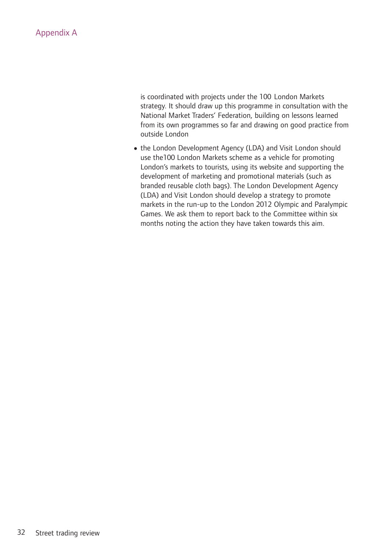#### Appendix A

is coordinated with projects under the 100 London Markets strategy. It should draw up this programme in consultation with the National Market Traders' Federation, building on lessons learned from its own programmes so far and drawing on good practice from outside London

• the London Development Agency (LDA) and Visit London should use the100 London Markets scheme as a vehicle for promoting London's markets to tourists, using its website and supporting the development of marketing and promotional materials (such as branded reusable cloth bags). The London Development Agency (LDA) and Visit London should develop a strategy to promote markets in the run-up to the London 2012 Olympic and Paralympic Games. We ask them to report back to the Committee within six months noting the action they have taken towards this aim.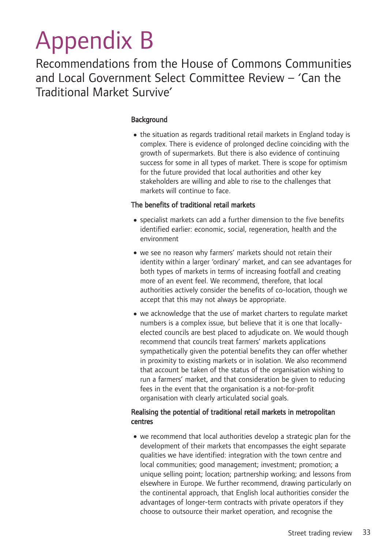## Appendix B

Recommendations from the House of Commons Communities and Local Government Select Committee Review – 'Can the Traditional Market Survive'

#### **Background**

• the situation as regards traditional retail markets in England today is complex. There is evidence of prolonged decline coinciding with the growth of supermarkets. But there is also evidence of continuing success for some in all types of market. There is scope for optimism for the future provided that local authorities and other key stakeholders are willing and able to rise to the challenges that markets will continue to face.

#### The benefits of traditional retail markets

- •specialist markets can add a further dimension to the five benefits identified earlier: economic, social, regeneration, health and the environment
- •we see no reason why farmers' markets should not retain their identity within a larger 'ordinary' market, and can see advantages for both types of markets in terms of increasing footfall and creating more of an event feel. We recommend, therefore, that local authorities actively consider the benefits of co-location, though we accept that this may not always be appropriate.
- •we acknowledge that the use of market charters to regulate market numbers is a complex issue, but believe that it is one that locallyelected councils are best placed to adjudicate on. We would though recommend that councils treat farmers' markets applications sympathetically given the potential benefits they can offer whether in proximity to existing markets or in isolation. We also recommend that account be taken of the status of the organisation wishing to run a farmers' market, and that consideration be given to reducing fees in the event that the organisation is a not-for-profit organisation with clearly articulated social goals.

#### Realising the potential of traditional retail markets in metropolitan centres

•we recommend that local authorities develop a strategic plan for the development of their markets that encompasses the eight separate qualities we have identified: integration with the town centre and local communities; good management; investment; promotion; a unique selling point; location; partnership working; and lessons from elsewhere in Europe. We further recommend, drawing particularly on the continental approach, that English local authorities consider the advantages of longer-term contracts with private operators if they choose to outsource their market operation, and recognise the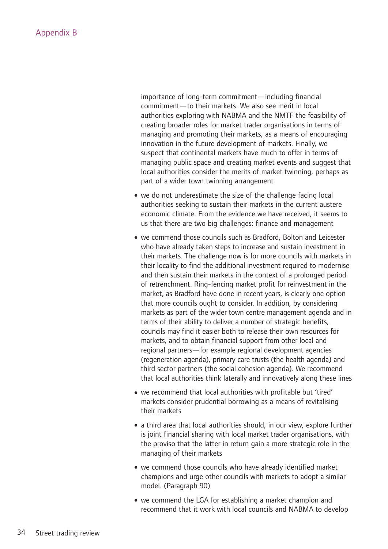importance of long-term commitment—including financial commitment—to their markets. We also see merit in local authorities exploring with NABMA and the NMTF the feasibility of creating broader roles for market trader organisations in terms of managing and promoting their markets, as a means of encouraging innovation in the future development of markets. Finally, we suspect that continental markets have much to offer in terms of managing public space and creating market events and suggest that local authorities consider the merits of market twinning, perhaps as part of a wider town twinning arrangement

- we do not underestimate the size of the challenge facing local authorities seeking to sustain their markets in the current austere economic climate. From the evidence we have received, it seems to us that there are two big challenges: finance and management
- •we commend those councils such as Bradford, Bolton and Leicester who have already taken steps to increase and sustain investment in their markets. The challenge now is for more councils with markets in their locality to find the additional investment required to modernise and then sustain their markets in the context of a prolonged period of retrenchment. Ring-fencing market profit for reinvestment in the market, as Bradford have done in recent years, is clearly one option that more councils ought to consider. In addition, by considering markets as part of the wider town centre management agenda and in terms of their ability to deliver a number of strategic benefits, councils may find it easier both to release their own resources for markets, and to obtain financial support from other local and regional partners—for example regional development agencies (regeneration agenda), primary care trusts (the health agenda) and third sector partners (the social cohesion agenda). We recommend that local authorities think laterally and innovatively along these lines
- •we recommend that local authorities with profitable but 'tired' markets consider prudential borrowing as a means of revitalising their markets
- a third area that local authorities should, in our view, explore further is joint financial sharing with local market trader organisations, with the proviso that the latter in return gain a more strategic role in the managing of their markets
- we commend those councils who have already identified market champions and urge other councils with markets to adopt a similar model. (Paragraph 90)
- •we commend the LGA for establishing a market champion and recommend that it work with local councils and NABMA to develop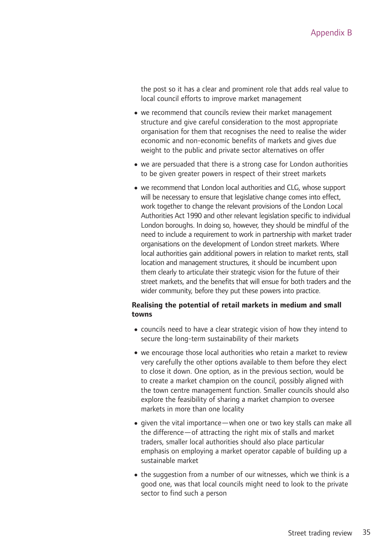the post so it has a clear and prominent role that adds real value to local council efforts to improve market management

- •we recommend that councils review their market management structure and give careful consideration to the most appropriate organisation for them that recognises the need to realise the wider economic and non-economic benefits of markets and gives due weight to the public and private sector alternatives on offer
- •we are persuaded that there is a strong case for London authorities to be given greater powers in respect of their street markets
- we recommend that London local authorities and CLG, whose support will be necessary to ensure that legislative change comes into effect, work together to change the relevant provisions of the London Local Authorities Act 1990 and other relevant legislation specific to individual London boroughs. In doing so, however, they should be mindful of the need to include a requirement to work in partnership with market trader organisations on the development of London street markets. Where local authorities gain additional powers in relation to market rents, stall location and management structures, it should be incumbent upon them clearly to articulate their strategic vision for the future of their street markets, and the benefits that will ensue for both traders and the wider community, before they put these powers into practice.

#### **Realising the potential of retail markets in medium and small towns**

- •councils need to have a clear strategic vision of how they intend to secure the long-term sustainability of their markets
- •we encourage those local authorities who retain a market to review very carefully the other options available to them before they elect to close it down. One option, as in the previous section, would be to create a market champion on the council, possibly aligned with the town centre management function. Smaller councils should also explore the feasibility of sharing a market champion to oversee markets in more than one locality
- •given the vital importance—when one or two key stalls can make all the difference—of attracting the right mix of stalls and market traders, smaller local authorities should also place particular emphasis on employing a market operator capable of building up a sustainable market
- the suggestion from a number of our witnesses, which we think is a good one, was that local councils might need to look to the private sector to find such a person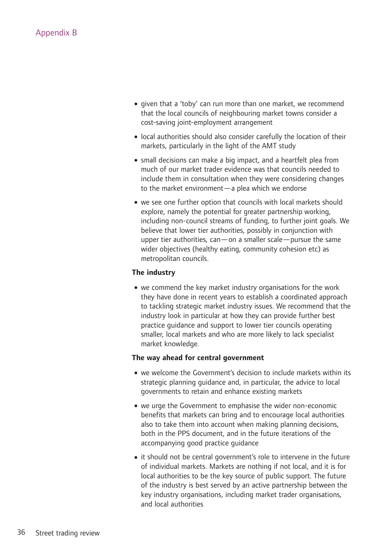- •given that a 'toby' can run more than one market, we recommend that the local councils of neighbouring market towns consider a cost-saving joint-employment arrangement
- •local authorities should also consider carefully the location of their markets, particularly in the light of the AMT study
- small decisions can make a big impact, and a heartfelt plea from much of our market trader evidence was that councils needed to include them in consultation when they were considering changes to the market environment—a plea which we endorse
- •we see one further option that councils with local markets should explore, namely the potential for greater partnership working, including non-council streams of funding, to further joint goals. We believe that lower tier authorities, possibly in conjunction with upper tier authorities, can—on a smaller scale—pursue the same wider objectives (healthy eating, community cohesion etc) as metropolitan councils.

#### **The industry**

•we commend the key market industry organisations for the work they have done in recent years to establish a coordinated approach to tackling strategic market industry issues. We recommend that the industry look in particular at how they can provide further best practice guidance and support to lower tier councils operating smaller, local markets and who are more likely to lack specialist market knowledge.

#### **The way ahead for central government**

- we welcome the Government's decision to include markets within its strategic planning guidance and, in particular, the advice to local governments to retain and enhance existing markets
- •we urge the Government to emphasise the wider non-economic benefits that markets can bring and to encourage local authorities also to take them into account when making planning decisions, both in the PPS document, and in the future iterations of the accompanying good practice guidance
- it should not be central government's role to intervene in the future of individual markets. Markets are nothing if not local, and it is for local authorities to be the key source of public support. The future of the industry is best served by an active partnership between the key industry organisations, including market trader organisations, and local authorities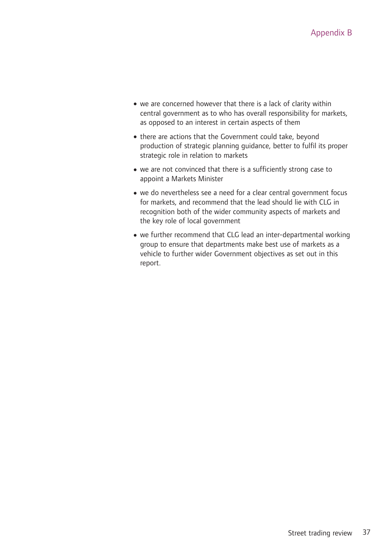- •we are concerned however that there is a lack of clarity within central government as to who has overall responsibility for markets, as opposed to an interest in certain aspects of them
- there are actions that the Government could take, beyond production of strategic planning guidance, better to fulfil its proper strategic role in relation to markets
- •we are not convinced that there is a sufficiently strong case to appoint a Markets Minister
- •we do nevertheless see a need for a clear central government focus for markets, and recommend that the lead should lie with CLG in recognition both of the wider community aspects of markets and the key role of local government
- we further recommend that CLG lead an inter-departmental working group to ensure that departments make best use of markets as a vehicle to further wider Government objectives as set out in this report.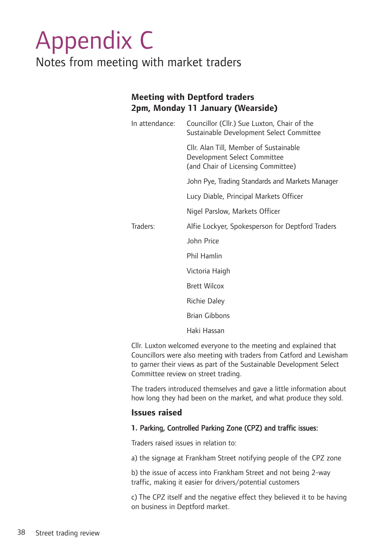### Appendix C Notes from meeting with market traders

#### **Meeting with Deptford traders 2pm, Monday 11 January (Wearside)**

| In attendance: | Councillor (Cllr.) Sue Luxton, Chair of the<br>Sustainable Development Select Committee                      |  |  |  |  |
|----------------|--------------------------------------------------------------------------------------------------------------|--|--|--|--|
|                | Cllr. Alan Till, Member of Sustainable<br>Development Select Committee<br>(and Chair of Licensing Committee) |  |  |  |  |
|                | John Pye, Trading Standards and Markets Manager                                                              |  |  |  |  |
|                | Lucy Diable, Principal Markets Officer                                                                       |  |  |  |  |
|                | Nigel Parslow, Markets Officer                                                                               |  |  |  |  |
| Traders:       | Alfie Lockyer, Spokesperson for Deptford Traders                                                             |  |  |  |  |
|                | John Price                                                                                                   |  |  |  |  |
|                | <b>Phil Hamlin</b>                                                                                           |  |  |  |  |
|                | Victoria Haigh                                                                                               |  |  |  |  |
|                | <b>Brett Wilcox</b>                                                                                          |  |  |  |  |
|                | <b>Richie Daley</b>                                                                                          |  |  |  |  |
|                | <b>Brian Gibbons</b>                                                                                         |  |  |  |  |
|                |                                                                                                              |  |  |  |  |

Haki Hassan

Cllr. Luxton welcomed everyone to the meeting and explained that Councillors were also meeting with traders from Catford and Lewisham to garner their views as part of the Sustainable Development Select Committee review on street trading.

The traders introduced themselves and gave a little information about how long they had been on the market, and what produce they sold.

#### **Issues raised**

#### **1.** Parking, Controlled Parking Zone (CPZ) and traffic issues:

Traders raised issues in relation to:

a) the signage at Frankham Street notifying people of the CPZ zone

b) the issue of access into Frankham Street and not being 2-way traffic, making it easier for drivers/potential customers

c) The CPZ itself and the negative effect they believed it to be having on business in Deptford market.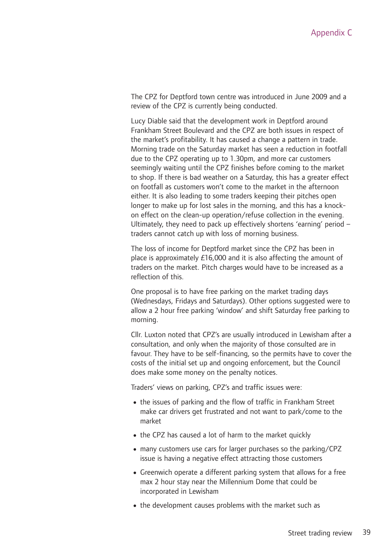The CPZ for Deptford town centre was introduced in June 2009 and a review of the CPZ is currently being conducted.

Lucy Diable said that the development work in Deptford around Frankham Street Boulevard and the CPZ are both issues in respect of the market's profitability. It has caused a change a pattern in trade. Morning trade on the Saturday market has seen a reduction in footfall due to the CPZ operating up to 1.30pm, and more car customers seemingly waiting until the CPZ finishes before coming to the market to shop. If there is bad weather on a Saturday, this has a greater effect on footfall as customers won't come to the market in the afternoon either. It is also leading to some traders keeping their pitches open longer to make up for lost sales in the morning, and this has a knockon effect on the clean-up operation/refuse collection in the evening. Ultimately, they need to pack up effectively shortens 'earning' period – traders cannot catch up with loss of morning business.

The loss of income for Deptford market since the CPZ has been in place is approximately £16,000 and it is also affecting the amount of traders on the market. Pitch charges would have to be increased as a reflection of this.

One proposal is to have free parking on the market trading days (Wednesdays, Fridays and Saturdays). Other options suggested were to allow a 2 hour free parking 'window' and shift Saturday free parking to morning.

Cllr. Luxton noted that CPZ's are usually introduced in Lewisham after a consultation, and only when the majority of those consulted are in favour. They have to be self-financing, so the permits have to cover the costs of the initial set up and ongoing enforcement, but the Council does make some money on the penalty notices.

Traders' views on parking, CPZ's and traffic issues were:

- the issues of parking and the flow of traffic in Frankham Street make car drivers get frustrated and not want to park/come to the market
- the CPZ has caused a lot of harm to the market quickly
- many customers use cars for larger purchases so the parking/CPZ issue is having a negative effect attracting those customers
- Greenwich operate a different parking system that allows for a free max 2 hour stay near the Millennium Dome that could be incorporated in Lewisham
- the development causes problems with the market such as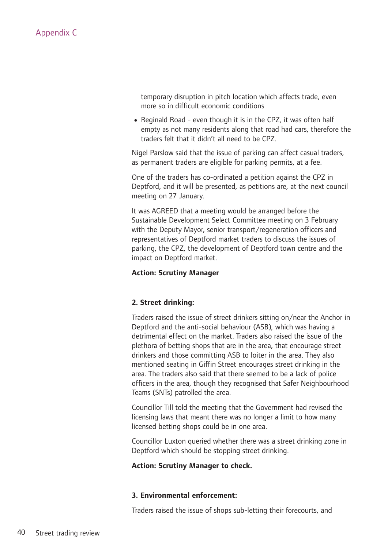temporary disruption in pitch location which affects trade, even more so in difficult economic conditions

• Reginald Road - even though it is in the CPZ, it was often half empty as not many residents along that road had cars, therefore the traders felt that it didn't all need to be CPZ.

Nigel Parslow said that the issue of parking can affect casual traders, as permanent traders are eligible for parking permits, at a fee.

One of the traders has co-ordinated a petition against the CPZ in Deptford, and it will be presented, as petitions are, at the next council meeting on 27 January.

It was AGREED that a meeting would be arranged before the Sustainable Development Select Committee meeting on 3 February with the Deputy Mayor, senior transport/regeneration officers and representatives of Deptford market traders to discuss the issues of parking, the CPZ, the development of Deptford town centre and the impact on Deptford market.

#### **Action: Scrutiny Manager**

#### **2. Street drinking:**

Traders raised the issue of street drinkers sitting on/near the Anchor in Deptford and the anti-social behaviour (ASB), which was having a detrimental effect on the market. Traders also raised the issue of the plethora of betting shops that are in the area, that encourage street drinkers and those committing ASB to loiter in the area. They also mentioned seating in Giffin Street encourages street drinking in the area. The traders also said that there seemed to be a lack of police officers in the area, though they recognised that Safer Neighbourhood Teams (SNTs) patrolled the area.

Councillor Till told the meeting that the Government had revised the licensing laws that meant there was no longer a limit to how many licensed betting shops could be in one area.

Councillor Luxton queried whether there was a street drinking zone in Deptford which should be stopping street drinking.

#### **Action: Scrutiny Manager to check.**

#### **3. Environmental enforcement:**

Traders raised the issue of shops sub-letting their forecourts, and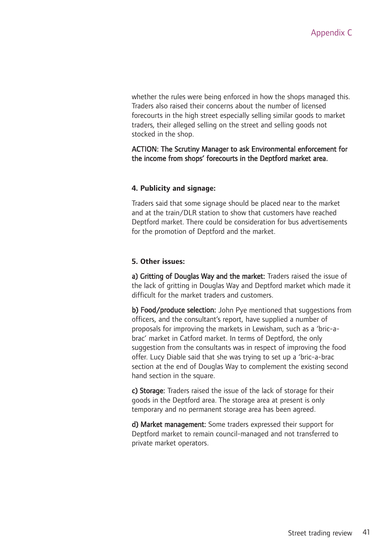whether the rules were being enforced in how the shops managed this. Traders also raised their concerns about the number of licensed forecourts in the high street especially selling similar goods to market traders, their alleged selling on the street and selling goods not stocked in the shop.

#### ACTION: The Scrutiny Manager to ask Environmental enforcement for the income from shops' forecourts in the Deptford market area.

#### **4. Publicity and signage:**

Traders said that some signage should be placed near to the market and at the train/DLR station to show that customers have reached Deptford market. There could be consideration for bus advertisements for the promotion of Deptford and the market.

#### **5. Other issues:**

a) Gritting of Douglas Way and the market: Traders raised the issue of the lack of gritting in Douglas Way and Deptford market which made it difficult for the market traders and customers.

b) Food/produce selection: John Pye mentioned that suggestions from officers, and the consultant's report, have supplied a number of proposals for improving the markets in Lewisham, such as a 'bric-abrac' market in Catford market. In terms of Deptford, the only suggestion from the consultants was in respect of improving the food offer. Lucy Diable said that she was trying to set up a 'bric-a-brac section at the end of Douglas Way to complement the existing second hand section in the square.

c) Storage: Traders raised the issue of the lack of storage for their goods in the Deptford area. The storage area at present is only temporary and no permanent storage area has been agreed.

d) Market management: Some traders expressed their support for Deptford market to remain council-managed and not transferred to private market operators.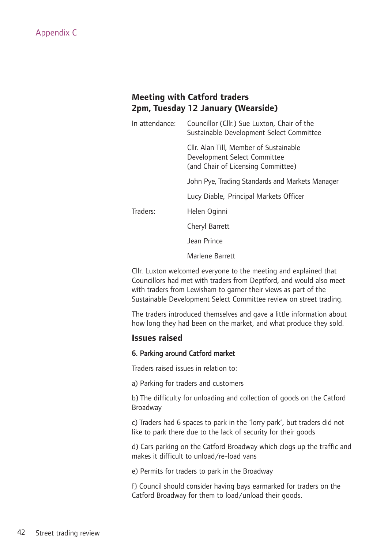#### **Meeting with Catford traders 2pm, Tuesday 12 January (Wearside)**

| In attendance: | Councillor (Cllr.) Sue Luxton, Chair of the<br>Sustainable Development Select Committee                      |
|----------------|--------------------------------------------------------------------------------------------------------------|
|                | Cllr. Alan Till, Member of Sustainable<br>Development Select Committee<br>(and Chair of Licensing Committee) |
|                | John Pye, Trading Standards and Markets Manager                                                              |
|                | Lucy Diable, Principal Markets Officer                                                                       |
| Traders:       | Helen Oginni                                                                                                 |
|                | Cheryl Barrett                                                                                               |
|                | Jean Prince                                                                                                  |
|                | Marlene Barrett                                                                                              |

Cllr. Luxton welcomed everyone to the meeting and explained that Councillors had met with traders from Deptford, and would also meet with traders from Lewisham to garner their views as part of the Sustainable Development Select Committee review on street trading.

The traders introduced themselves and gave a little information about how long they had been on the market, and what produce they sold.

#### **Issues raised**

#### 6. Parking around Catford market

Traders raised issues in relation to:

a) Parking for traders and customers

b) The difficulty for unloading and collection of goods on the Catford Broadway

c) Traders had 6 spaces to park in the 'lorry park', but traders did not like to park there due to the lack of security for their goods

d) Cars parking on the Catford Broadway which clogs up the traffic and makes it difficult to unload/re-load vans

e) Permits for traders to park in the Broadway

f) Council should consider having bays earmarked for traders on the Catford Broadway for them to load/unload their goods.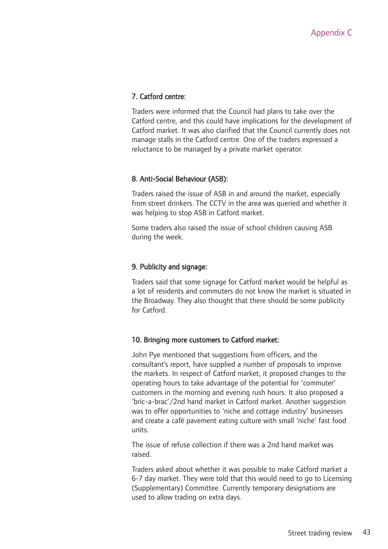#### 7. Catford centre:

Traders were informed that the Council had plans to take over the Catford centre, and this could have implications for the development of Catford market. It was also clarified that the Council currently does not manage stalls in the Catford centre. One of the traders expressed a reluctance to be managed by a private market operator.

#### 8. Anti-Social Behaviour (ASB):

Traders raised the issue of ASB in and around the market, especially from street drinkers. The CCTV in the area was queried and whether it was helping to stop ASB in Catford market.

Some traders also raised the issue of school children causing ASB during the week.

#### 9. Publicity and signage:

Traders said that some signage for Catford market would be helpful as a lot of residents and commuters do not know the market is situated in the Broadway. They also thought that there should be some publicity for Catford.

#### 10. Bringing more customers to Catford market:

John Pye mentioned that suggestions from officers, and the consultant's report, have supplied a number of proposals to improve the markets. In respect of Catford market, it proposed changes to the operating hours to take advantage of the potential for 'commuter' customers in the morning and evening rush hours. It also proposed a 'bric-a-brac'/2nd hand market in Catford market. Another suggestion was to offer opportunities to 'niche and cottage industry' businesses and create a café pavement eating culture with small 'niche' fast food units.

The issue of refuse collection if there was a 2nd hand market was raised.

Traders asked about whether it was possible to make Catford market a 6-7 day market. They were told that this would need to go to Licensing (Supplementary) Committee. Currently temporary designations are used to allow trading on extra days.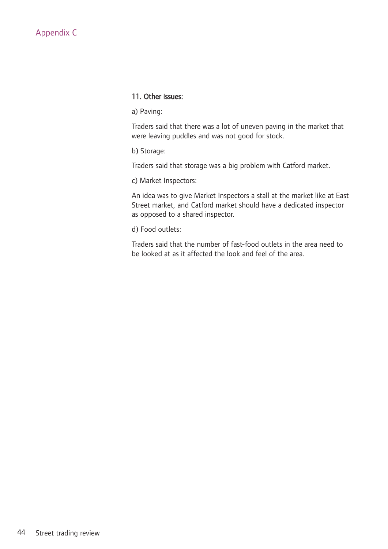#### 11. Other issues:

a) Paving:

Traders said that there was a lot of uneven paving in the market that were leaving puddles and was not good for stock.

b) Storage:

Traders said that storage was a big problem with Catford market.

c) Market Inspectors:

An idea was to give Market Inspectors a stall at the market like at East Street market, and Catford market should have a dedicated inspector as opposed to a shared inspector.

d) Food outlets:

Traders said that the number of fast-food outlets in the area need to be looked at as it affected the look and feel of the area.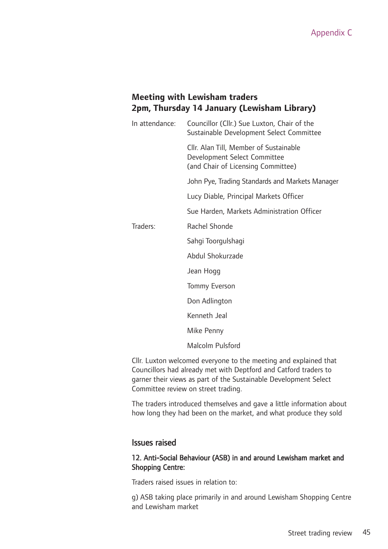#### **Meeting with Lewisham traders 2pm, Thursday 14 January (Lewisham Library)**

| In attendance: | Councillor (Cllr.) Sue Luxton, Chair of the<br>Sustainable Development Select Committee                      |
|----------------|--------------------------------------------------------------------------------------------------------------|
|                | Cllr. Alan Till, Member of Sustainable<br>Development Select Committee<br>(and Chair of Licensing Committee) |
|                | John Pye, Trading Standards and Markets Manager                                                              |
|                | Lucy Diable, Principal Markets Officer                                                                       |
|                | Sue Harden, Markets Administration Officer                                                                   |
| Traders:       | Rachel Shonde                                                                                                |
|                | Sahgi Toorgulshagi                                                                                           |
|                | Abdul Shokurzade                                                                                             |
|                | Jean Hogg                                                                                                    |
|                | Tommy Everson                                                                                                |
|                | Don Adlington                                                                                                |
|                | Kenneth Jeal                                                                                                 |
|                | Mike Penny                                                                                                   |
|                | Malcolm Pulsford                                                                                             |

Cllr. Luxton welcomed everyone to the meeting and explained that Councillors had already met with Deptford and Catford traders to garner their views as part of the Sustainable Development Select Committee review on street trading.

The traders introduced themselves and gave a little information about how long they had been on the market, and what produce they sold

#### Issues raised

#### 12. Anti-Social Behaviour (ASB) in and around Lewisham market and Shopping Centre:

Traders raised issues in relation to:

g) ASB taking place primarily in and around Lewisham Shopping Centre and Lewisham market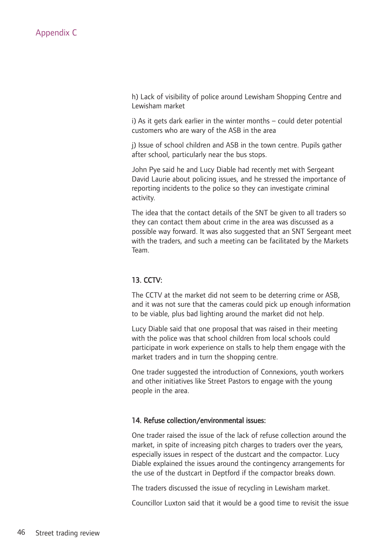h) Lack of visibility of police around Lewisham Shopping Centre and Lewisham market

i) As it gets dark earlier in the winter months – could deter potential customers who are wary of the ASB in the area

j) Issue of school children and ASB in the town centre. Pupils gather after school, particularly near the bus stops.

John Pye said he and Lucy Diable had recently met with Sergeant David Laurie about policing issues, and he stressed the importance of reporting incidents to the police so they can investigate criminal activity.

The idea that the contact details of the SNT be given to all traders so they can contact them about crime in the area was discussed as a possible way forward. It was also suggested that an SNT Sergeant meet with the traders, and such a meeting can be facilitated by the Markets Team.

#### 13. CCTV:

The CCTV at the market did not seem to be deterring crime or ASB, and it was not sure that the cameras could pick up enough information to be viable, plus bad lighting around the market did not help.

Lucy Diable said that one proposal that was raised in their meeting with the police was that school children from local schools could participate in work experience on stalls to help them engage with the market traders and in turn the shopping centre.

One trader suggested the introduction of Connexions, youth workers and other initiatives like Street Pastors to engage with the young people in the area.

#### 14. Refuse collection/environmental issues:

One trader raised the issue of the lack of refuse collection around the market, in spite of increasing pitch charges to traders over the years, especially issues in respect of the dustcart and the compactor. Lucy Diable explained the issues around the contingency arrangements for the use of the dustcart in Deptford if the compactor breaks down.

The traders discussed the issue of recycling in Lewisham market.

Councillor Luxton said that it would be a good time to revisit the issue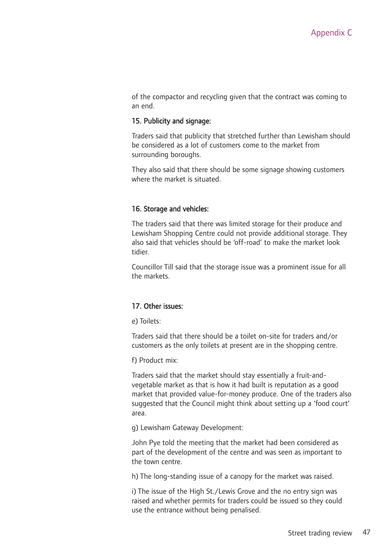of the compactor and recycling given that the contract was coming to an end.

#### 15. Publicity and signage:

Traders said that publicity that stretched further than Lewisham should be considered as a lot of customers come to the market from surrounding boroughs.

They also said that there should be some signage showing customers where the market is situated.

#### 16. Storage and vehicles:

The traders said that there was limited storage for their produce and Lewisham Shopping Centre could not provide additional storage. They also said that vehicles should be 'off-road' to make the market look tidier.

Councillor Till said that the storage issue was a prominent issue for all the markets.

#### 17. Other issues:

e) Toilets:

Traders said that there should be a toilet on-site for traders and/or customers as the only toilets at present are in the shopping centre.

f) Product mix:

Traders said that the market should stay essentially a fruit-andvegetable market as that is how it had built is reputation as a good market that provided value-for-money produce. One of the traders also suggested that the Council might think about setting up a 'food court' area.

g) Lewisham Gateway Development:

John Pye told the meeting that the market had been considered as part of the development of the centre and was seen as important to the town centre.

h) The long-standing issue of a canopy for the market was raised.

i) The issue of the High St./Lewis Grove and the no entry sign was raised and whether permits for traders could be issued so they could use the entrance without being penalised.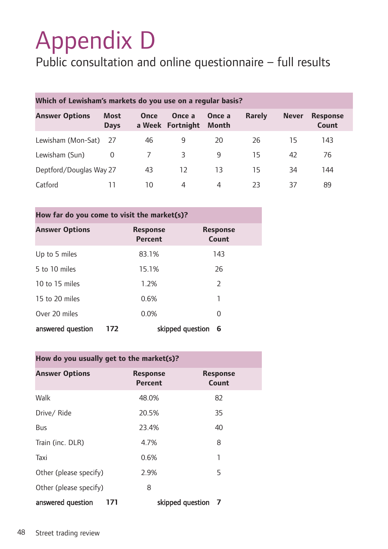# Appendix D

### Public consultation and online questionnaire – full results

| Which of Lewisham's markets do you use on a regular basis? |                            |             |                            |                 |               |              |                          |  |
|------------------------------------------------------------|----------------------------|-------------|----------------------------|-----------------|---------------|--------------|--------------------------|--|
| <b>Answer Options</b>                                      | <b>Most</b><br><b>Days</b> | <b>Once</b> | Once a<br>a Week Fortnight | Once a<br>Month | <b>Rarely</b> | <b>Never</b> | <b>Response</b><br>Count |  |
| Lewisham (Mon-Sat)                                         | - 27                       | 46          | 9                          | 20              | 26            | 15           | 143                      |  |
| Lewisham (Sun)                                             | 0                          |             | 3                          | 9               | 15            | 42           | 76                       |  |
| Deptford/Douglas Way 27                                    |                            | 43          | 12                         | 13              | 15            | 34           | 144                      |  |
| Catford                                                    | 11                         | 10          | 4                          | 4               | 23            | 37           | 89                       |  |

| How far do you come to visit the market(s)? |     |                                   |                  |                          |  |  |  |
|---------------------------------------------|-----|-----------------------------------|------------------|--------------------------|--|--|--|
| <b>Answer Options</b>                       |     | <b>Response</b><br><b>Percent</b> |                  | <b>Response</b><br>Count |  |  |  |
| Up to 5 miles                               |     | 83.1%                             |                  | 143                      |  |  |  |
| 5 to 10 miles                               |     | 15.1%                             |                  | 26                       |  |  |  |
| 10 to 15 miles                              |     | 1.2%                              |                  | $\overline{2}$           |  |  |  |
| 15 to 20 miles                              |     | 0.6%                              |                  | 1                        |  |  |  |
| Over 20 miles                               |     | 0.0%                              |                  | 0                        |  |  |  |
| answered question                           | 172 |                                   | skipped question | 6                        |  |  |  |

| How do you usually get to the market(s)? |                            |                          |  |  |  |  |
|------------------------------------------|----------------------------|--------------------------|--|--|--|--|
| <b>Answer Options</b>                    | <b>Response</b><br>Percent | <b>Response</b><br>Count |  |  |  |  |
| Walk                                     | 48.0%                      | 82                       |  |  |  |  |
| Drive/Ride                               | 20.5%                      | 35                       |  |  |  |  |
| Bus                                      | 23.4%                      | 40                       |  |  |  |  |
| Train (inc. DLR)                         | 4.7%                       | 8                        |  |  |  |  |
| Taxi                                     | 0.6%                       | 1                        |  |  |  |  |
| Other (please specify)                   | 2.9%                       | 5                        |  |  |  |  |
| Other (please specify)                   | 8                          |                          |  |  |  |  |
| answered question<br>171                 |                            | skipped question 7       |  |  |  |  |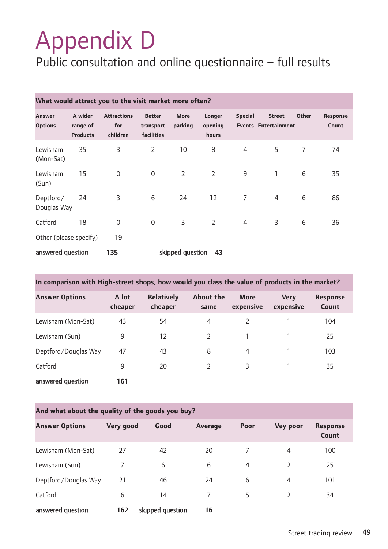# Appendix D

### Public consultation and online questionnaire – full results

| What would attract you to the visit market more often? |                                        |                                       |                                          |                        |                            |                |                                              |              |                          |
|--------------------------------------------------------|----------------------------------------|---------------------------------------|------------------------------------------|------------------------|----------------------------|----------------|----------------------------------------------|--------------|--------------------------|
| <b>Answer</b><br><b>Options</b>                        | A wider<br>range of<br><b>Products</b> | <b>Attractions</b><br>for<br>children | <b>Better</b><br>transport<br>facilities | <b>More</b><br>parking | Longer<br>opening<br>hours | <b>Special</b> | <b>Street</b><br><b>Events Entertainment</b> | <b>Other</b> | <b>Response</b><br>Count |
| Lewisham<br>(Mon-Sat)                                  | 35                                     | 3                                     | $\overline{2}$                           | 10                     | 8                          | $\overline{4}$ | 5                                            | 7            | 74                       |
| Lewisham<br>(Sun)                                      | 15                                     | $\overline{0}$                        | $\overline{0}$                           | $\overline{2}$         | $\overline{2}$             | $9\,$          | $\mathbf{1}$                                 | 6            | 35                       |
| Deptford/<br>Douglas Way                               | 24                                     | 3                                     | 6                                        | 24                     | 12                         | $\overline{7}$ | 4                                            | 6            | 86                       |
| Catford                                                | 18                                     | $\mathbf 0$                           | $\boldsymbol{0}$                         | 3                      | $\overline{2}$             | $\overline{4}$ | 3                                            | 6            | 36                       |
| Other (please specify)                                 |                                        | 19                                    |                                          |                        |                            |                |                                              |              |                          |
| answered question                                      |                                        | 135                                   |                                          | skipped question       | 43                         |                |                                              |              |                          |

| In comparison with High-street shops, how would you class the value of products in the market? |                  |                              |                          |                          |                          |                          |  |
|------------------------------------------------------------------------------------------------|------------------|------------------------------|--------------------------|--------------------------|--------------------------|--------------------------|--|
| <b>Answer Options</b>                                                                          | A lot<br>cheaper | <b>Relatively</b><br>cheaper | <b>About the</b><br>same | <b>More</b><br>expensive | <b>Very</b><br>expensive | <b>Response</b><br>Count |  |
| Lewisham (Mon-Sat)                                                                             | 43               | 54                           | 4                        |                          |                          | 104                      |  |
| Lewisham (Sun)                                                                                 | 9                | 12                           | 2                        |                          |                          | 25                       |  |
| Deptford/Douglas Way                                                                           | 47               | 43                           | 8                        | $\overline{4}$           |                          | 103                      |  |
| Catford                                                                                        | 9                | 20                           | $\mathcal{P}$            | 3                        |                          | 35                       |  |
| answered question                                                                              | 161              |                              |                          |                          |                          |                          |  |

| And what about the quality of the goods you buy? |           |                  |                |                |                 |                          |  |
|--------------------------------------------------|-----------|------------------|----------------|----------------|-----------------|--------------------------|--|
| <b>Answer Options</b>                            | Very good | Good             | <b>Average</b> | <b>Poor</b>    | <b>Vey poor</b> | <b>Response</b><br>Count |  |
| Lewisham (Mon-Sat)                               | 27        | 42               | 20             | 7              | 4               | 100                      |  |
| Lewisham (Sun)                                   | 7         | 6                | 6              | $\overline{4}$ | 2               | 25                       |  |
| Deptford/Douglas Way                             | 21        | 46               | 24             | 6              | 4               | 101                      |  |
| Catford                                          | 6         | 14               | 7              | 5              | V               | 34                       |  |
| answered question                                | 162       | skipped question | 16             |                |                 |                          |  |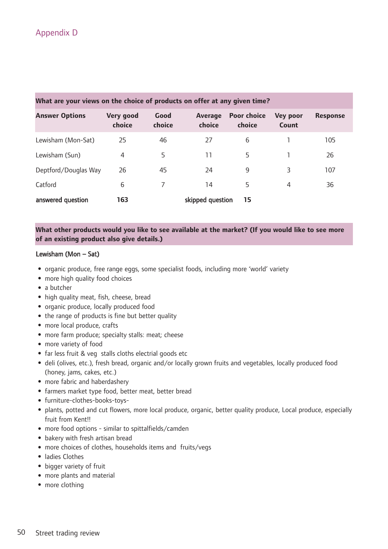| <b>Answer Options</b> | Very good<br>choice | Good<br>choice | Average<br>choice | <b>Poor choice</b><br>choice | <b>Vey poor</b><br>Count | <b>Response</b> |
|-----------------------|---------------------|----------------|-------------------|------------------------------|--------------------------|-----------------|
| Lewisham (Mon-Sat)    | 25                  | 46             | 27                | 6                            |                          | 105             |
| Lewisham (Sun)        | 4                   | 5              | 11                | 5                            |                          | 26              |
| Deptford/Douglas Way  | 26                  | 45             | 24                | 9                            | 3                        | 107             |
| Catford               | 6                   |                | 14                | 5                            | 4                        | 36              |
| answered question     | 163                 |                | skipped question  | 15                           |                          |                 |

What are your views on the choice of products on offer at any given time?

#### **What other products would you like to see available at the market? (If you would like to see more of an existing product also give details.)**

#### Lewisham (Mon – Sat)

- organic produce, free range eggs, some specialist foods, including more 'world' variety
- more high quality food choices
- a butcher
- high quality meat, fish, cheese, bread
- organic produce, locally produced food
- the range of products is fine but better quality
- more local produce, crafts
- more farm produce; specialty stalls: meat; cheese
- more variety of food
- far less fruit & veg stalls cloths electrial goods etc
- deli (olives, etc.), fresh bread, organic and/or locally grown fruits and vegetables, locally produced food (honey, jams, cakes, etc.)
- more fabric and haberdashery
- •farmers market type food, better meat, better bread
- •furniture-clothes-books-toys-
- plants, potted and cut flowers, more local produce, organic, better quality produce, Local produce, especially fruit from Kent!!
- more food options similar to spittalfields/camden
- bakery with fresh artisan bread
- more choices of clothes, households items and fruits/vegs
- •ladies Clothes
- bigger variety of fruit
- more plants and material
- more clothing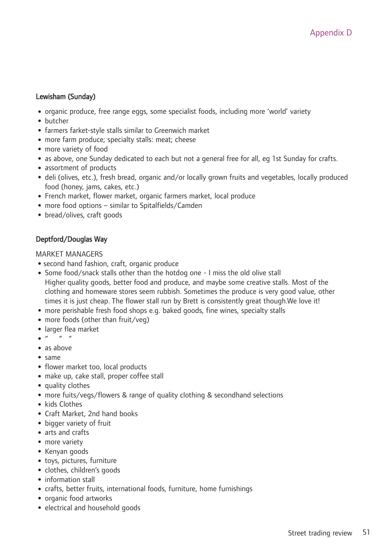#### Lewisham (Sunday)

- organic produce, free range eggs, some specialist foods, including more 'world' variety
- butcher
- •farmers farket-style stalls similar to Greenwich market
- more farm produce; specialty stalls: meat; cheese
- more variety of food
- as above, one Sunday dedicated to each but not a general free for all, eg 1st Sunday for crafts.
- •assortment of products
- deli (olives, etc.), fresh bread, organic and/or locally grown fruits and vegetables, locally produced food (honey, jams, cakes, etc.)
- •French market, flower market, organic farmers market, local produce
- more food options similar to Spitalfields/Camden
- bread/olives, craft goods

#### Deptford/Douglas Way

#### MARKET MANAGERS

- •second hand fashion, craft, organic produce
- •Some food/snack stalls other than the hotdog one I miss the old olive stall Higher quality goods, better food and produce, and maybe some creative stalls. Most of the clothing and homeware stores seem rubbish. Sometimes the produce is very good value, other times it is just cheap. The flower stall run by Brett is consistently great though.We love it!
- more perishable fresh food shops e.g. baked goods, fine wines, specialty stalls
- more foods (other than fruit/veg)
- •larger flea market
- $\bullet$  "
- $\bullet$  as above
- $\bullet$  same
- flower market too, local products
- make up, cake stall, proper coffee stall
- quality clothes
- more fuits/vegs/flowers & range of quality clothing & secondhand selections
- kids Clothes
- Craft Market, 2nd hand books
- bigger variety of fruit
- arts and crafts
- more variety
- Kenyan goods
- toys, pictures, furniture
- •clothes, children's goods
- information stall
- •crafts, better fruits, international foods, furniture, home furnishings
- organic food artworks
- electrical and household goods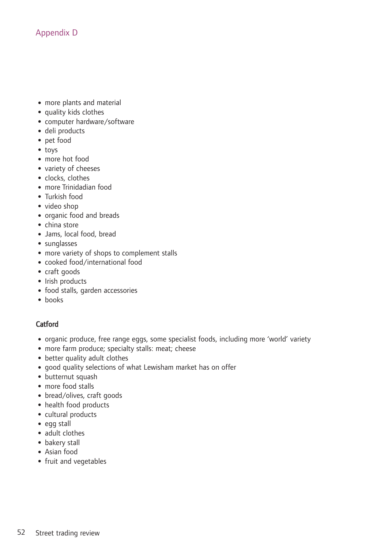- more plants and material
- quality kids clothes
- •computer hardware/software
- deli products
- pet food
- toys
- more hot food
- •variety of cheeses
- clocks, clothes
- more Trinidadian food
- Turkish food
- video shop
- organic food and breads
- china store
- •Jams, local food, bread
- •sunglasses
- more variety of shops to complement stalls
- •cooked food/international food
- •craft goods
- Irish products
- •food stalls, garden accessories
- books

#### Catford

- organic produce, free range eggs, some specialist foods, including more 'world' variety
- more farm produce; specialty stalls: meat; cheese
- better quality adult clothes
- good quality selections of what Lewisham market has on offer
- butternut squash
- more food stalls
- bread/olives, craft goods
- health food products
- •cultural products
- egg stall
- adult clothes
- bakery stall
- Asian food
- •fruit and vegetables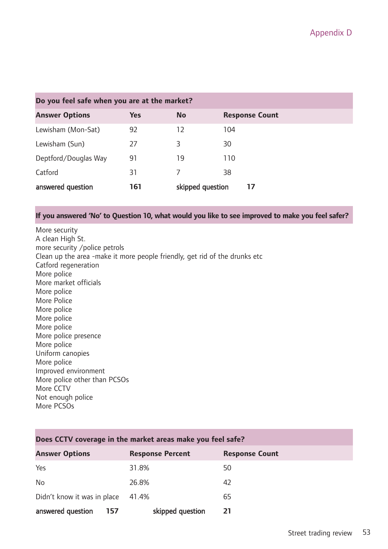| Do you feel safe when you are at the market? |            |                  |                       |  |  |  |
|----------------------------------------------|------------|------------------|-----------------------|--|--|--|
| <b>Answer Options</b>                        | <b>Yes</b> | <b>No</b>        | <b>Response Count</b> |  |  |  |
| Lewisham (Mon-Sat)                           | 92         | 12               | 104                   |  |  |  |
| Lewisham (Sun)                               | 27         | 3                | 30                    |  |  |  |
| Deptford/Douglas Way                         | 91         | 19               | 110                   |  |  |  |
| Catford                                      | 31         |                  | 38                    |  |  |  |
| answered question                            | 161        | skipped question | 17                    |  |  |  |

#### **If you answered 'No' to Question 10, what would you like to see improved to make you feel safer?**

More security A clean High St. more security /police petrols Clean up the area -make it more people friendly, get rid of the drunks etc Catford regeneration More police More market officials More police More Police More police More police More police More police presence More police Uniform canopies More police Improved environment More police other than PCSOs More CCTV Not enough police More PCSOs

| Does CCTV coverage in the market areas make you feel safe? |                         |                       |  |  |
|------------------------------------------------------------|-------------------------|-----------------------|--|--|
| <b>Answer Options</b>                                      | <b>Response Percent</b> | <b>Response Count</b> |  |  |
| Yes                                                        | 31.8%                   | 50                    |  |  |
| <b>No</b>                                                  | 26.8%                   | 42                    |  |  |
| Didn't know it was in place                                | 41.4%                   | 65                    |  |  |
| answered question<br>157                                   | skipped question        | 21                    |  |  |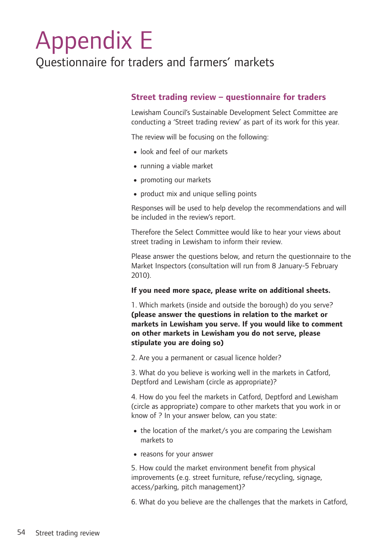## Appendix E

### Questionnaire for traders and farmers' markets

#### **Street trading review – questionnaire for traders**

Lewisham Council's Sustainable Development Select Committee are conducting a 'Street trading review' as part of its work for this year.

The review will be focusing on the following:

- •look and feel of our markets
- running a viable market
- promoting our markets
- product mix and unique selling points

Responses will be used to help develop the recommendations and will be included in the review's report.

Therefore the Select Committee would like to hear your views about street trading in Lewisham to inform their review.

Please answer the questions below, and return the questionnaire to the Market Inspectors (consultation will run from 8 January-5 February 2010).

#### **If you need more space, please write on additional sheets.**

1. Which markets (inside and outside the borough) do you serve? **(please answer the questions in relation to the market or markets in Lewisham you serve. If you would like to comment on other markets in Lewisham you do not serve, please stipulate you are doing so)**

2. Are you a permanent or casual licence holder?

3. What do you believe is working well in the markets in Catford, Deptford and Lewisham (circle as appropriate)?

4. How do you feel the markets in Catford, Deptford and Lewisham (circle as appropriate) compare to other markets that you work in or know of ? In your answer below, can you state:

- the location of the market/s you are comparing the Lewisham markets to
- •reasons for your answer

5. How could the market environment benefit from physical improvements (e.g. street furniture, refuse/recycling, signage, access/parking, pitch management)?

6. What do you believe are the challenges that the markets in Catford,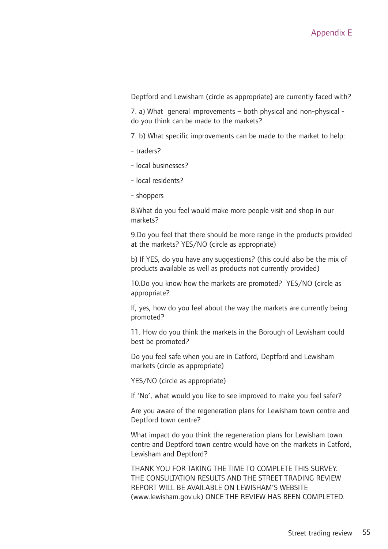Deptford and Lewisham (circle as appropriate) are currently faced with?

7. a) What general improvements – both physical and non-physical do you think can be made to the markets?

7. b) What specific improvements can be made to the market to help:

- traders?
- local businesses?
- local residents?
- shoppers

8.What do you feel would make more people visit and shop in our markets?

9.Do you feel that there should be more range in the products provided at the markets? YES/NO (circle as appropriate)

b) If YES, do you have any suggestions? (this could also be the mix of products available as well as products not currently provided)

10.Do you know how the markets are promoted? YES/NO (circle as appropriate?

If, yes, how do you feel about the way the markets are currently being promoted?

11. How do you think the markets in the Borough of Lewisham could best be promoted?

Do you feel safe when you are in Catford, Deptford and Lewisham markets (circle as appropriate)

YES/NO (circle as appropriate)

If 'No', what would you like to see improved to make you feel safer?

Are you aware of the regeneration plans for Lewisham town centre and Deptford town centre?

What impact do you think the regeneration plans for Lewisham town centre and Deptford town centre would have on the markets in Catford, Lewisham and Deptford?

THANK YOU FOR TAKING THE TIME TO COMPLETE THIS SURVEY. THE CONSULTATION RESULTS AND THE STREET TRADING REVIEW REPORT WILL BE AVAILABLE ON LEWISHAM'S WEBSITE (www.lewisham.gov.uk) ONCE THE REVIEW HAS BEEN COMPLETED.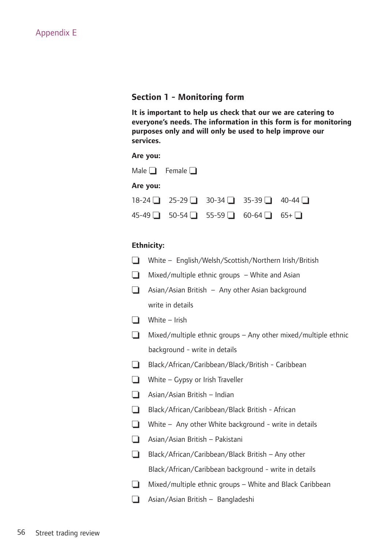#### **Section 1 - Monitoring form**

**It is important to help us check that our we are catering to everyone's needs. The information in this form is for monitoring purposes only and will only be used to help improve our services.**

#### **Are you:**

|          | Male $\Box$ Female $\Box$                                        |  |  |
|----------|------------------------------------------------------------------|--|--|
| Are you: |                                                                  |  |  |
|          | $18-24$ 25-29 30-34 35-39 40-44 $\Box$                           |  |  |
|          | $45-49$ $\Box$ 50-54 $\Box$ 55-59 $\Box$ 60-64 $\Box$ 65+ $\Box$ |  |  |

#### **Ethnicity:**

|        | <b>Ethnicity:</b>                                              |
|--------|----------------------------------------------------------------|
| $\Box$ | White - English/Welsh/Scottish/Northern Irish/British          |
| $\Box$ | Mixed/multiple ethnic groups $-$ White and Asian               |
| $\Box$ | Asian/Asian British - Any other Asian background               |
|        | write in details                                               |
| $\Box$ | White - Irish                                                  |
| $\Box$ | Mixed/multiple ethnic groups - Any other mixed/multiple ethnic |
|        | background - write in details                                  |
| $\Box$ | Black/African/Caribbean/Black/British - Caribbean              |
| $\Box$ | White - Gypsy or Irish Traveller                               |
| $\Box$ | Asian/Asian British - Indian                                   |
| $\Box$ | Black/African/Caribbean/Black British - African                |
| $\Box$ | White $-$ Any other White background - write in details        |
| $\Box$ | Asian/Asian British - Pakistani                                |
| $\Box$ | Black/African/Caribbean/Black British - Any other              |
|        | Black/African/Caribbean background - write in details          |
| $\Box$ | Mixed/multiple ethnic groups - White and Black Caribbean       |
| $\Box$ | Asian/Asian British - Bangladeshi                              |
|        |                                                                |
|        |                                                                |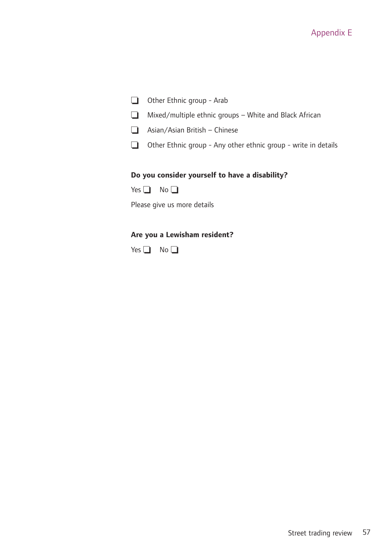#### Appendix E

- ❏ Other Ethnic group Arab
- ❏ Mixed/multiple ethnic groups White and Black African
- ❏ Asian/Asian British Chinese
- ❏ Other Ethnic group Any other ethnic group write in details

#### **Do you consider yourself to have a disability?**

Please give us more details

#### **Are you a Lewisham resident?**

Yes **</u>** No **</u>**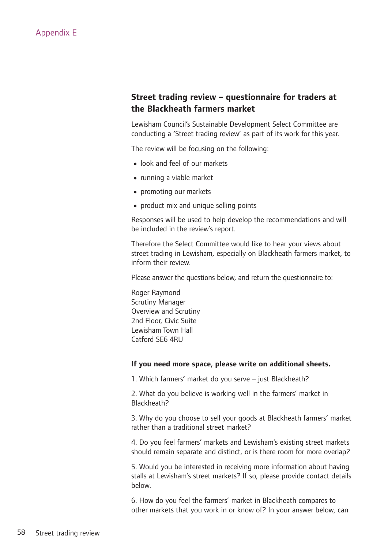#### **Street trading review – questionnaire for traders at the Blackheath farmers market**

Lewisham Council's Sustainable Development Select Committee are conducting a 'Street trading review' as part of its work for this year.

The review will be focusing on the following:

- •look and feel of our markets
- running a viable market
- promoting our markets
- product mix and unique selling points

Responses will be used to help develop the recommendations and will be included in the review's report.

Therefore the Select Committee would like to hear your views about street trading in Lewisham, especially on Blackheath farmers market, to inform their review.

Please answer the questions below, and return the questionnaire to:

Roger Raymond Scrutiny Manager Overview and Scrutiny 2nd Floor, Civic Suite Lewisham Town Hall Catford SE6 4RU

#### **If you need more space, please write on additional sheets.**

1. Which farmers' market do you serve – just Blackheath?

2. What do you believe is working well in the farmers' market in Blackheath?

3. Why do you choose to sell your goods at Blackheath farmers' market rather than a traditional street market?

4. Do you feel farmers' markets and Lewisham's existing street markets should remain separate and distinct, or is there room for more overlap?

5. Would you be interested in receiving more information about having stalls at Lewisham's street markets? If so, please provide contact details below.

6. How do you feel the farmers' market in Blackheath compares to other markets that you work in or know of? In your answer below, can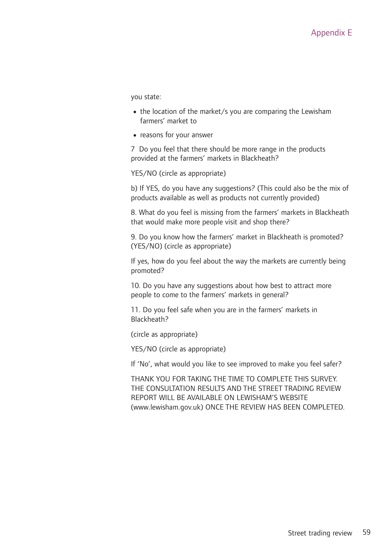you state:

- the location of the market/s you are comparing the Lewisham farmers' market to
- •reasons for your answer

7 Do you feel that there should be more range in the products provided at the farmers' markets in Blackheath?

YES/NO (circle as appropriate)

b) If YES, do you have any suggestions? (This could also be the mix of products available as well as products not currently provided)

8. What do you feel is missing from the farmers' markets in Blackheath that would make more people visit and shop there?

9. Do you know how the farmers' market in Blackheath is promoted? (YES/NO) (circle as appropriate)

If yes, how do you feel about the way the markets are currently being promoted?

10. Do you have any suggestions about how best to attract more people to come to the farmers' markets in general?

11. Do you feel safe when you are in the farmers' markets in Blackheath?

(circle as appropriate)

YES/NO (circle as appropriate)

If 'No', what would you like to see improved to make you feel safer?

THANK YOU FOR TAKING THE TIME TO COMPLETE THIS SURVEY. THE CONSULTATION RESULTS AND THE STREET TRADING REVIEW REPORT WILL BE AVAILABLE ON LEWISHAM'S WEBSITE (www.lewisham.gov.uk) ONCE THE REVIEW HAS BEEN COMPLETED.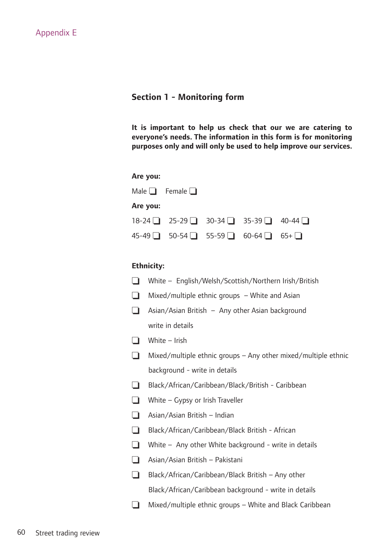#### **Section 1 - Monitoring form**

**It is important to help us check that our we are catering to everyone's needs. The information in this form is for monitoring purposes only and will only be used to help improve our services.**

| Are you: |                                        |  |  |
|----------|----------------------------------------|--|--|
|          | Male $\Box$ Female $\Box$              |  |  |
| Are you: |                                        |  |  |
|          | $18-24$ 25-29 30-34 35-39 40-44 $\Box$ |  |  |
|          | 45-49 ■ 50-54 ■ 55-59 ■ 60-64 ■ 65+ ■  |  |  |

#### **Ethnicity:**

| $\Box$ | White - English/Welsh/Scottish/Northern Irish/British          |
|--------|----------------------------------------------------------------|
| $\Box$ | Mixed/multiple ethnic groups - White and Asian                 |
| $\Box$ | Asian/Asian British - Any other Asian background               |
|        | write in details                                               |
| $\Box$ | White - Irish                                                  |
| $\Box$ | Mixed/multiple ethnic groups - Any other mixed/multiple ethnic |
|        | background - write in details                                  |
| $\Box$ | Black/African/Caribbean/Black/British - Caribbean              |
| $\Box$ | White - Gypsy or Irish Traveller                               |
| $\Box$ | Asian/Asian British - Indian                                   |
| $\Box$ | Black/African/Caribbean/Black British - African                |
| $\Box$ | White $-$ Any other White background - write in details        |
| $\Box$ | Asian/Asian British - Pakistani                                |
| $\Box$ | Black/African/Caribbean/Black British - Any other              |
|        | Black/African/Caribbean background - write in details          |
| $\Box$ | Mixed/multiple ethnic groups - White and Black Caribbean       |
|        |                                                                |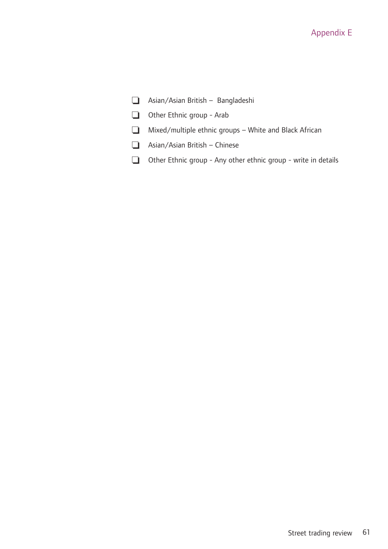#### Appendix E

- ❏ Asian/Asian British Bangladeshi
- ❏ Other Ethnic group Arab
- ❏ Mixed/multiple ethnic groups White and Black African
- ❏ Asian/Asian British Chinese
- ❏ Other Ethnic group Any other ethnic group write in details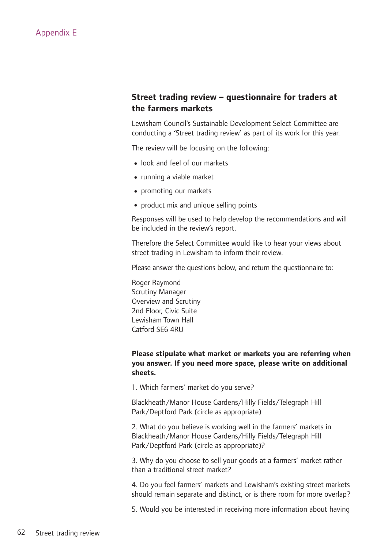#### **Street trading review – questionnaire for traders at the farmers markets**

Lewisham Council's Sustainable Development Select Committee are conducting a 'Street trading review' as part of its work for this year.

The review will be focusing on the following:

- •look and feel of our markets
- running a viable market
- promoting our markets
- product mix and unique selling points

Responses will be used to help develop the recommendations and will be included in the review's report.

Therefore the Select Committee would like to hear your views about street trading in Lewisham to inform their review.

Please answer the questions below, and return the questionnaire to:

Roger Raymond Scrutiny Manager Overview and Scrutiny 2nd Floor, Civic Suite Lewisham Town Hall Catford SE6 4RU

#### **Please stipulate what market or markets you are referring when you answer. If you need more space, please write on additional sheets.**

1. Which farmers' market do you serve?

Blackheath/Manor House Gardens/Hilly Fields/Telegraph Hill Park/Deptford Park (circle as appropriate)

2. What do you believe is working well in the farmers' markets in Blackheath/Manor House Gardens/Hilly Fields/Telegraph Hill Park/Deptford Park (circle as appropriate)?

3. Why do you choose to sell your goods at a farmers' market rather than a traditional street market?

4. Do you feel farmers' markets and Lewisham's existing street markets should remain separate and distinct, or is there room for more overlap?

5. Would you be interested in receiving more information about having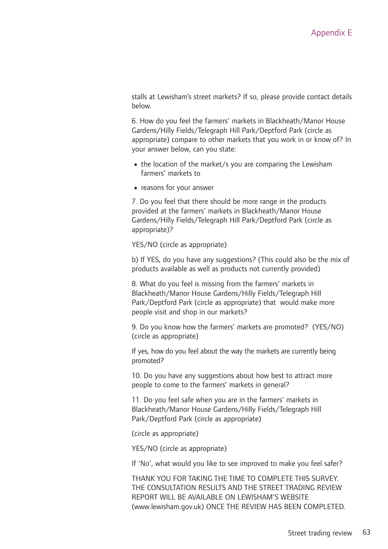stalls at Lewisham's street markets? If so, please provide contact details below.

6. How do you feel the farmers' markets in Blackheath/Manor House Gardens/Hilly Fields/Telegraph Hill Park/Deptford Park (circle as appropriate) compare to other markets that you work in or know of? In your answer below, can you state:

- the location of the market/s you are comparing the Lewisham farmers' markets to
- reasons for your answer

7. Do you feel that there should be more range in the products provided at the farmers' markets in Blackheath/Manor House Gardens/Hilly Fields/Telegraph Hill Park/Deptford Park (circle as appropriate)?

YES/NO (circle as appropriate)

b) If YES, do you have any suggestions? (This could also be the mix of products available as well as products not currently provided)

8. What do you feel is missing from the farmers' markets in Blackheath/Manor House Gardens/Hilly Fields/Telegraph Hill Park/Deptford Park (circle as appropriate) that would make more people visit and shop in our markets?

9. Do you know how the farmers' markets are promoted? (YES/NO) (circle as appropriate)

If yes, how do you feel about the way the markets are currently being promoted?

10. Do you have any suggestions about how best to attract more people to come to the farmers' markets in general?

11. Do you feel safe when you are in the farmers' markets in Blackheath/Manor House Gardens/Hilly Fields/Telegraph Hill Park/Deptford Park (circle as appropriate)

(circle as appropriate)

YES/NO (circle as appropriate)

If 'No', what would you like to see improved to make you feel safer?

THANK YOU FOR TAKING THE TIME TO COMPLETE THIS SURVEY. THE CONSULTATION RESULTS AND THE STREET TRADING REVIEW REPORT WILL BE AVAILABLE ON LEWISHAM'S WEBSITE (www.lewisham.gov.uk) ONCE THE REVIEW HAS BEEN COMPLETED.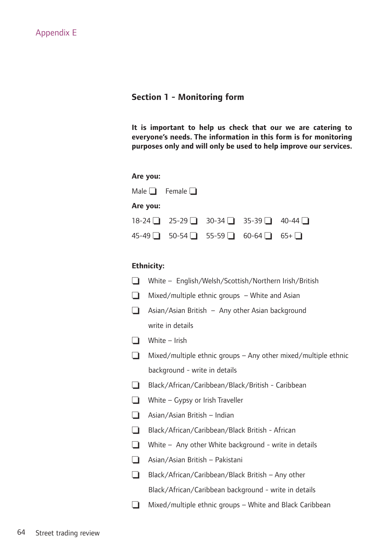#### **Section 1 - Monitoring form**

**It is important to help us check that our we are catering to everyone's needs. The information in this form is for monitoring purposes only and will only be used to help improve our services.**

| Are you: |                                        |  |  |
|----------|----------------------------------------|--|--|
|          | Male $\Box$ Female $\Box$              |  |  |
| Are you: |                                        |  |  |
|          | $18-24$ 25-29 30-34 35-39 40-44 $\Box$ |  |  |
|          | 45-49 ■ 50-54 ■ 55-59 ■ 60-64 ■ 65+ ■  |  |  |

#### **Ethnicity:**

| $\Box$ | White - English/Welsh/Scottish/Northern Irish/British          |
|--------|----------------------------------------------------------------|
| $\Box$ | Mixed/multiple ethnic groups - White and Asian                 |
| $\Box$ | Asian/Asian British - Any other Asian background               |
|        | write in details                                               |
| $\Box$ | White - Irish                                                  |
| $\Box$ | Mixed/multiple ethnic groups - Any other mixed/multiple ethnic |
|        | background - write in details                                  |
| $\Box$ | Black/African/Caribbean/Black/British - Caribbean              |
| $\Box$ | White - Gypsy or Irish Traveller                               |
| $\Box$ | Asian/Asian British - Indian                                   |
| $\Box$ | Black/African/Caribbean/Black British - African                |
| $\Box$ | White $-$ Any other White background - write in details        |
| $\Box$ | Asian/Asian British - Pakistani                                |
| $\Box$ | Black/African/Caribbean/Black British - Any other              |
|        | Black/African/Caribbean background - write in details          |
| $\Box$ | Mixed/multiple ethnic groups - White and Black Caribbean       |
|        |                                                                |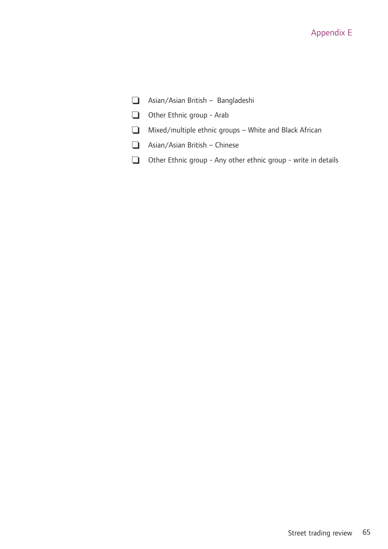#### Appendix E

- ❏ Asian/Asian British Bangladeshi
- ❏ Other Ethnic group Arab
- ❏ Mixed/multiple ethnic groups White and Black African
- ❏ Asian/Asian British Chinese
- ❏ Other Ethnic group Any other ethnic group write in details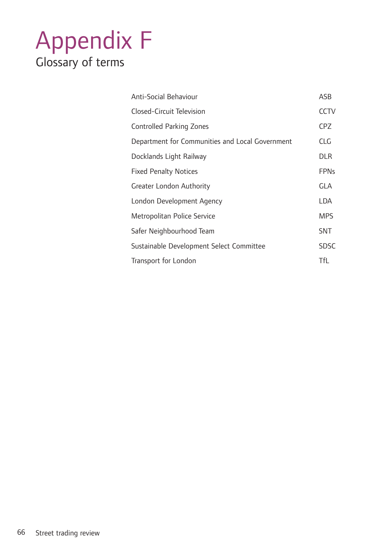### Appendix F Glossary of terms

| Anti-Social Behaviour                           | ASB         |
|-------------------------------------------------|-------------|
| Closed-Circuit Television                       | <b>CCTV</b> |
| Controlled Parking Zones                        | <b>CPZ</b>  |
| Department for Communities and Local Government | <b>CLG</b>  |
| Docklands Light Railway                         | <b>DLR</b>  |
| <b>Fixed Penalty Notices</b>                    | <b>FPNs</b> |
| Greater London Authority                        | <b>GLA</b>  |
| London Development Agency                       | LDA         |
| Metropolitan Police Service                     | <b>MPS</b>  |
| Safer Neighbourhood Team                        | <b>SNT</b>  |
| Sustainable Development Select Committee        | <b>SDSC</b> |
| Transport for London                            | <b>TfL</b>  |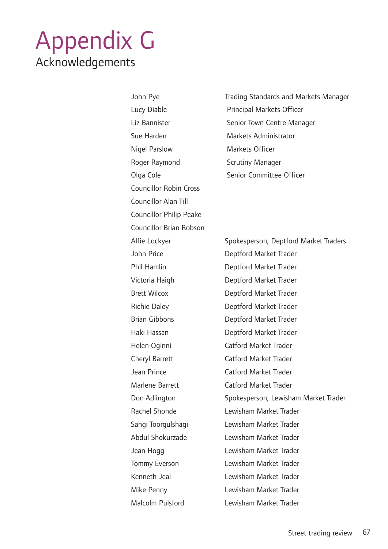### Appendix G Acknowledgements

Sue Harden Markets Administrator Nigel Parslow Markets Officer Roger Raymond Scrutiny Manager Councillor Robin Cross Councillor Alan Till Councillor Philip Peake Councillor Brian Robson

John Pye Trading Standards and Markets Manager Lucy Diable **Principal Markets Officer** Liz Bannister Senior Town Centre Manager Olga Cole Senior Committee Officer

Alfie Lockyer Spokesperson, Deptford Market Traders John Price Deptford Market Trader Phil Hamlin Deptford Market Trader Victoria Haigh Deptford Market Trader Brett Wilcox Deptford Market Trader Richie Daley Deptford Market Trader Brian Gibbons Deptford Market Trader Haki Hassan Deptford Market Trader Helen Oginni Catford Market Trader Cheryl Barrett Catford Market Trader Jean Prince Catford Market Trader Marlene Barrett Catford Market Trader Don Adlington Spokesperson, Lewisham Market Trader Rachel Shonde Lewisham Market Trader Sahgi Toorgulshagi Lewisham Market Trader Abdul Shokurzade Lewisham Market Trader Jean Hogg Lewisham Market Trader Tommy Everson Lewisham Market Trader Kenneth Jeal Lewisham Market Trader Mike Penny Lewisham Market Trader Malcolm Pulsford Lewisham Market Trader